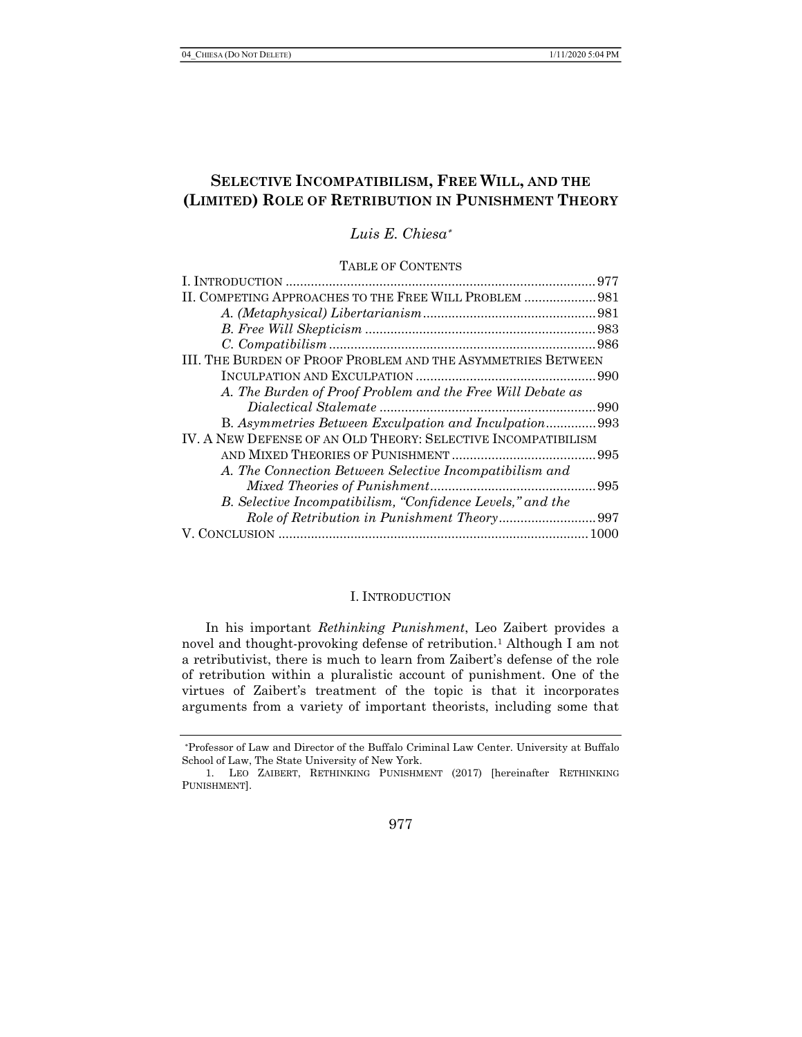# SELECTIVE INCOMPATIBILISM, FREE WILL, AND THE (LIMITED) ROLE OF RETRIBUTION IN PUNISHMENT THEORY

Luis E. Chiesa

TABLE OF CONTENTS

|                                                               | 977  |
|---------------------------------------------------------------|------|
| II. COMPETING APPROACHES TO THE FREE WILL PROBLEM  981        |      |
|                                                               |      |
|                                                               |      |
|                                                               |      |
| III. THE BURDEN OF PROOF PROBLEM AND THE ASYMMETRIES BETWEEN  |      |
|                                                               |      |
| A. The Burden of Proof Problem and the Free Will Debate as    |      |
|                                                               |      |
| B. Asymmetries Between Exculpation and Inculpation993         |      |
| IV. A NEW DEFENSE OF AN OLD THEORY: SELECTIVE INCOMPATIBILISM |      |
|                                                               | .995 |
| A. The Connection Between Selective Incompatibilism and       |      |
|                                                               |      |
| B. Selective Incompatibilism, "Confidence Levels," and the    |      |
|                                                               |      |
|                                                               |      |
|                                                               |      |

### I. INTRODUCTION

In his important Rethinking Punishment, Leo Zaibert provides a novel and thought-provoking defense of retribution.1 Although I am not a retributivist, there is much to learn from Zaibert's defense of the role of retribution within a pluralistic account of punishment. One of the virtues of Zaibert's treatment of the topic is that it incorporates arguments from a variety of important theorists, including some that

977

Professor of Law and Director of the Buffalo Criminal Law Center. University at Buffalo School of Law, The State University of New York.

<sup>1.</sup> LEO ZAIBERT, RETHINKING PUNISHMENT (2017) [hereinafter RETHINKING PUNISHMENT].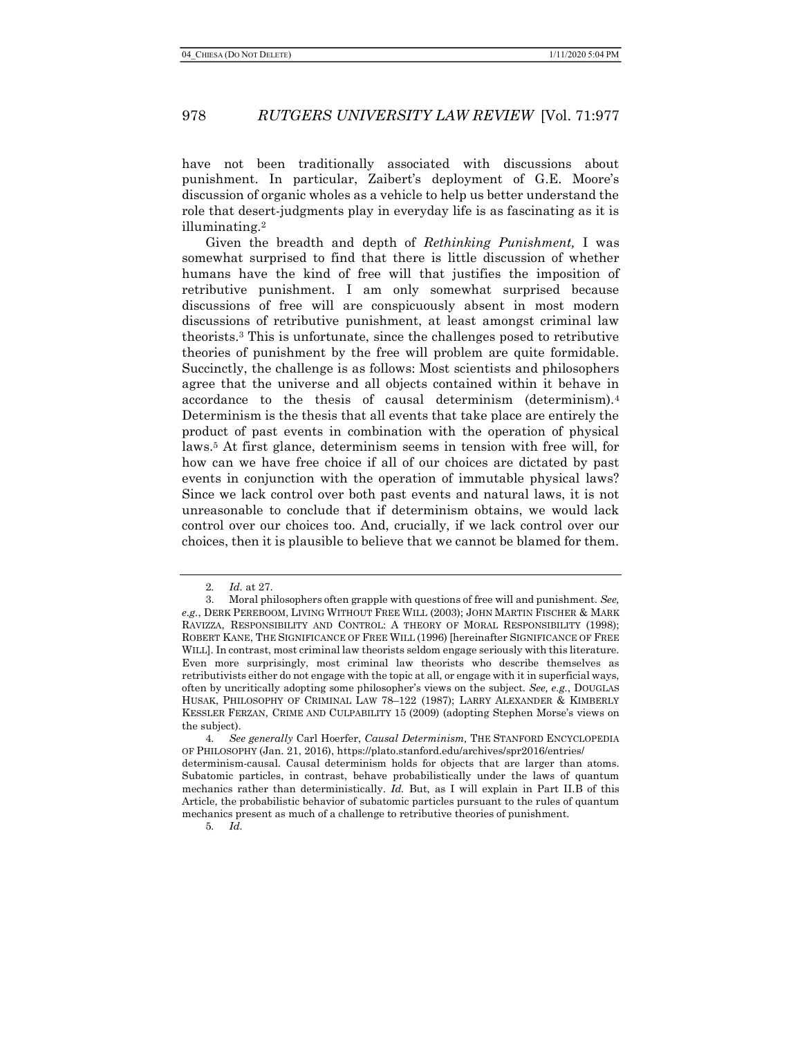have not been traditionally associated with discussions about punishment. In particular, Zaibert's deployment of G.E. Moore's discussion of organic wholes as a vehicle to help us better understand the role that desert-judgments play in everyday life is as fascinating as it is illuminating.<sup>2</sup>

Given the breadth and depth of Rethinking Punishment, I was somewhat surprised to find that there is little discussion of whether humans have the kind of free will that justifies the imposition of retributive punishment. I am only somewhat surprised because discussions of free will are conspicuously absent in most modern discussions of retributive punishment, at least amongst criminal law theorists.3 This is unfortunate, since the challenges posed to retributive theories of punishment by the free will problem are quite formidable. Succinctly, the challenge is as follows: Most scientists and philosophers agree that the universe and all objects contained within it behave in accordance to the thesis of causal determinism (determinism).<sup>4</sup> Determinism is the thesis that all events that take place are entirely the product of past events in combination with the operation of physical laws.5 At first glance, determinism seems in tension with free will, for how can we have free choice if all of our choices are dictated by past events in conjunction with the operation of immutable physical laws? Since we lack control over both past events and natural laws, it is not unreasonable to conclude that if determinism obtains, we would lack control over our choices too. And, crucially, if we lack control over our choices, then it is plausible to believe that we cannot be blamed for them.

5. Id.

<sup>2</sup>. Id. at 27.

<sup>3.</sup> Moral philosophers often grapple with questions of free will and punishment. See, e.g., DERK PEREBOOM, LIVING WITHOUT FREE WILL (2003); JOHN MARTIN FISCHER & MARK RAVIZZA, RESPONSIBILITY AND CONTROL: A THEORY OF MORAL RESPONSIBILITY (1998); ROBERT KANE, THE SIGNIFICANCE OF FREE WILL (1996) [hereinafter SIGNIFICANCE OF FREE WILL]. In contrast, most criminal law theorists seldom engage seriously with this literature. Even more surprisingly, most criminal law theorists who describe themselves as retributivists either do not engage with the topic at all, or engage with it in superficial ways, often by uncritically adopting some philosopher's views on the subject. See, e.g., DOUGLAS HUSAK, PHILOSOPHY OF CRIMINAL LAW 78–122 (1987); LARRY ALEXANDER & KIMBERLY KESSLER FERZAN, CRIME AND CULPABILITY 15 (2009) (adopting Stephen Morse's views on the subject).

<sup>4.</sup> See generally Carl Hoerfer, Causal Determinism, THE STANFORD ENCYCLOPEDIA OF PHILOSOPHY (Jan. 21, 2016), https://plato.stanford.edu/archives/spr2016/entries/ determinism-causal. Causal determinism holds for objects that are larger than atoms. Subatomic particles, in contrast, behave probabilistically under the laws of quantum

mechanics rather than deterministically. Id. But, as I will explain in Part II.B of this Article, the probabilistic behavior of subatomic particles pursuant to the rules of quantum mechanics present as much of a challenge to retributive theories of punishment.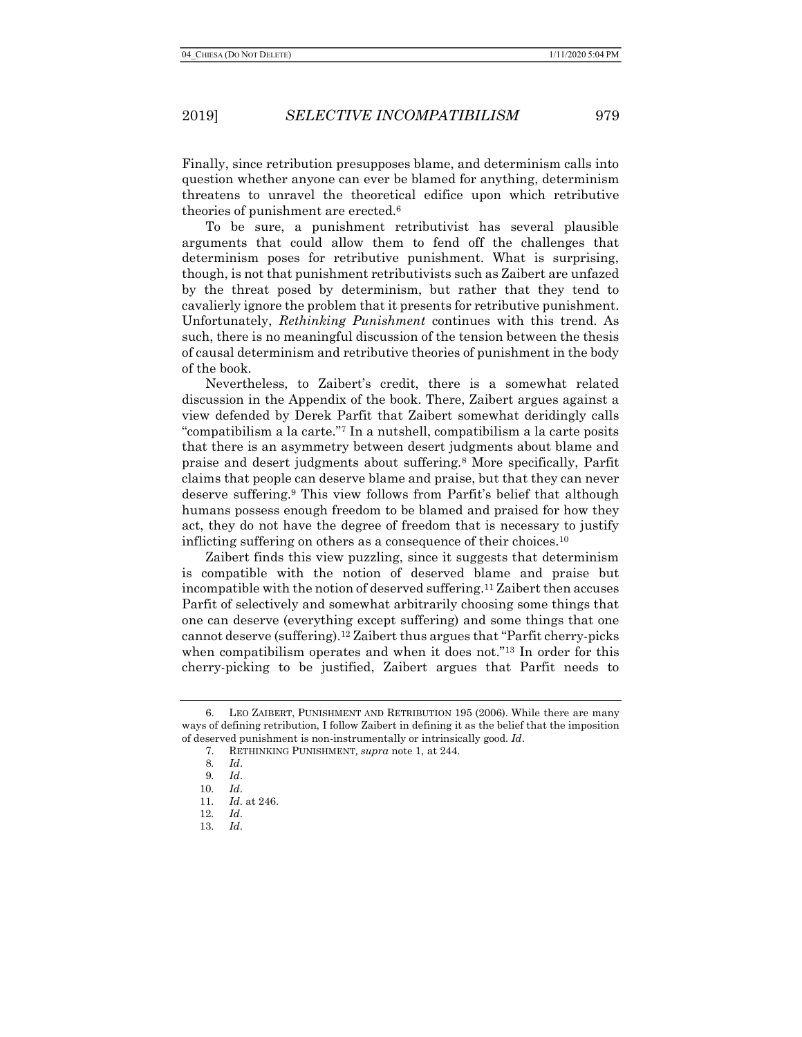Finally, since retribution presupposes blame, and determinism calls into question whether anyone can ever be blamed for anything, determinism threatens to unravel the theoretical edifice upon which retributive theories of punishment are erected.<sup>6</sup>

To be sure, a punishment retributivist has several plausible arguments that could allow them to fend off the challenges that determinism poses for retributive punishment. What is surprising, though, is not that punishment retributivists such as Zaibert are unfazed by the threat posed by determinism, but rather that they tend to cavalierly ignore the problem that it presents for retributive punishment. Unfortunately, Rethinking Punishment continues with this trend. As such, there is no meaningful discussion of the tension between the thesis of causal determinism and retributive theories of punishment in the body of the book.

Nevertheless, to Zaibert's credit, there is a somewhat related discussion in the Appendix of the book. There, Zaibert argues against a view defended by Derek Parfit that Zaibert somewhat deridingly calls "compatibilism a la carte."7 In a nutshell, compatibilism a la carte posits that there is an asymmetry between desert judgments about blame and praise and desert judgments about suffering.8 More specifically, Parfit claims that people can deserve blame and praise, but that they can never deserve suffering.9 This view follows from Parfit's belief that although humans possess enough freedom to be blamed and praised for how they act, they do not have the degree of freedom that is necessary to justify inflicting suffering on others as a consequence of their choices.<sup>10</sup>

Zaibert finds this view puzzling, since it suggests that determinism is compatible with the notion of deserved blame and praise but incompatible with the notion of deserved suffering.11 Zaibert then accuses Parfit of selectively and somewhat arbitrarily choosing some things that one can deserve (everything except suffering) and some things that one cannot deserve (suffering).12 Zaibert thus argues that "Parfit cherry-picks when compatibilism operates and when it does not."<sup>13</sup> In order for this cherry-picking to be justified, Zaibert argues that Parfit needs to

<sup>6.</sup> LEO ZAIBERT, PUNISHMENT AND RETRIBUTION 195 (2006). While there are many ways of defining retribution, I follow Zaibert in defining it as the belief that the imposition of deserved punishment is non-instrumentally or intrinsically good. Id.

<sup>7.</sup> RETHINKING PUNISHMENT, supra note 1, at 244.

<sup>8</sup>. Id.

<sup>9</sup>. Id.

<sup>10</sup>. Id.

<sup>11</sup>. Id. at 246.

<sup>12</sup>. Id.

<sup>13</sup>. Id.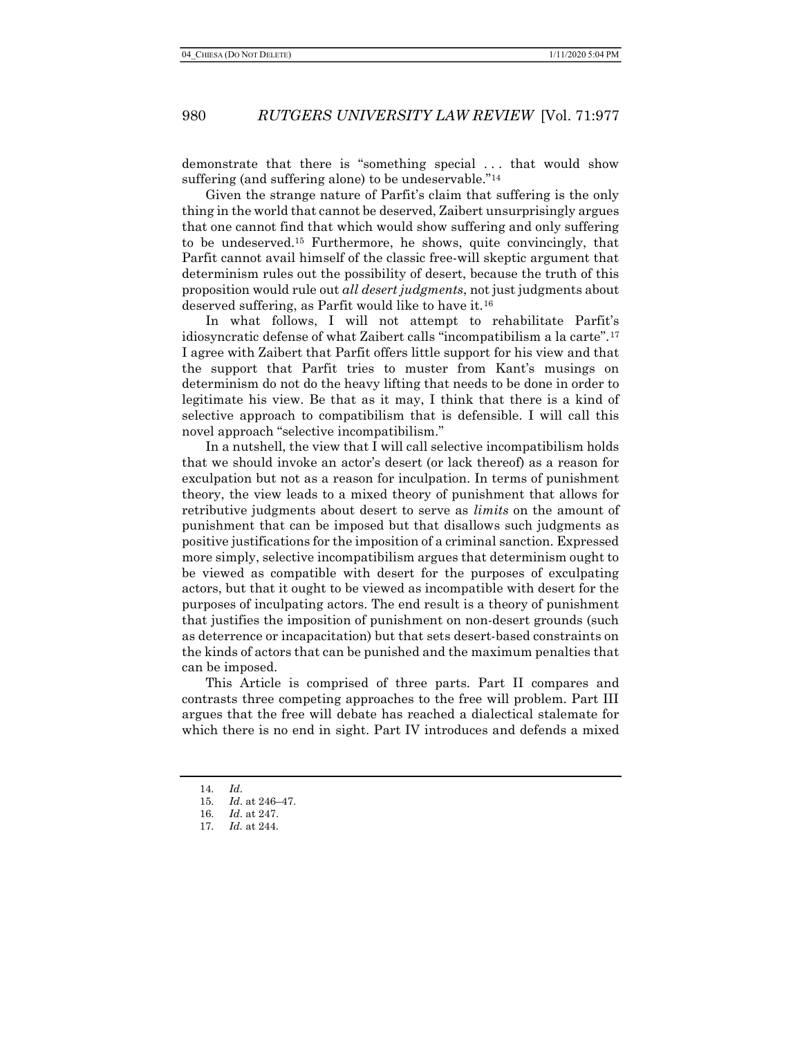demonstrate that there is "something special . . . that would show suffering (and suffering alone) to be undeservable."<sup>14</sup>

Given the strange nature of Parfit's claim that suffering is the only thing in the world that cannot be deserved, Zaibert unsurprisingly argues that one cannot find that which would show suffering and only suffering to be undeserved.15 Furthermore, he shows, quite convincingly, that Parfit cannot avail himself of the classic free-will skeptic argument that determinism rules out the possibility of desert, because the truth of this proposition would rule out *all desert judgments*, not just judgments about deserved suffering, as Parfit would like to have it.<sup>16</sup>

In what follows, I will not attempt to rehabilitate Parfit's idiosyncratic defense of what Zaibert calls "incompatibilism a la carte".<sup>17</sup> I agree with Zaibert that Parfit offers little support for his view and that the support that Parfit tries to muster from Kant's musings on determinism do not do the heavy lifting that needs to be done in order to legitimate his view. Be that as it may, I think that there is a kind of selective approach to compatibilism that is defensible. I will call this novel approach "selective incompatibilism."

In a nutshell, the view that I will call selective incompatibilism holds that we should invoke an actor's desert (or lack thereof) as a reason for exculpation but not as a reason for inculpation. In terms of punishment theory, the view leads to a mixed theory of punishment that allows for retributive judgments about desert to serve as *limits* on the amount of punishment that can be imposed but that disallows such judgments as positive justifications for the imposition of a criminal sanction. Expressed more simply, selective incompatibilism argues that determinism ought to be viewed as compatible with desert for the purposes of exculpating actors, but that it ought to be viewed as incompatible with desert for the purposes of inculpating actors. The end result is a theory of punishment that justifies the imposition of punishment on non-desert grounds (such as deterrence or incapacitation) but that sets desert-based constraints on the kinds of actors that can be punished and the maximum penalties that can be imposed.

This Article is comprised of three parts. Part II compares and contrasts three competing approaches to the free will problem. Part III argues that the free will debate has reached a dialectical stalemate for which there is no end in sight. Part IV introduces and defends a mixed

<sup>14</sup>. Id.

<sup>15</sup>. Id. at 246–47.

<sup>16</sup>. Id. at 247.

<sup>17</sup>. Id. at 244.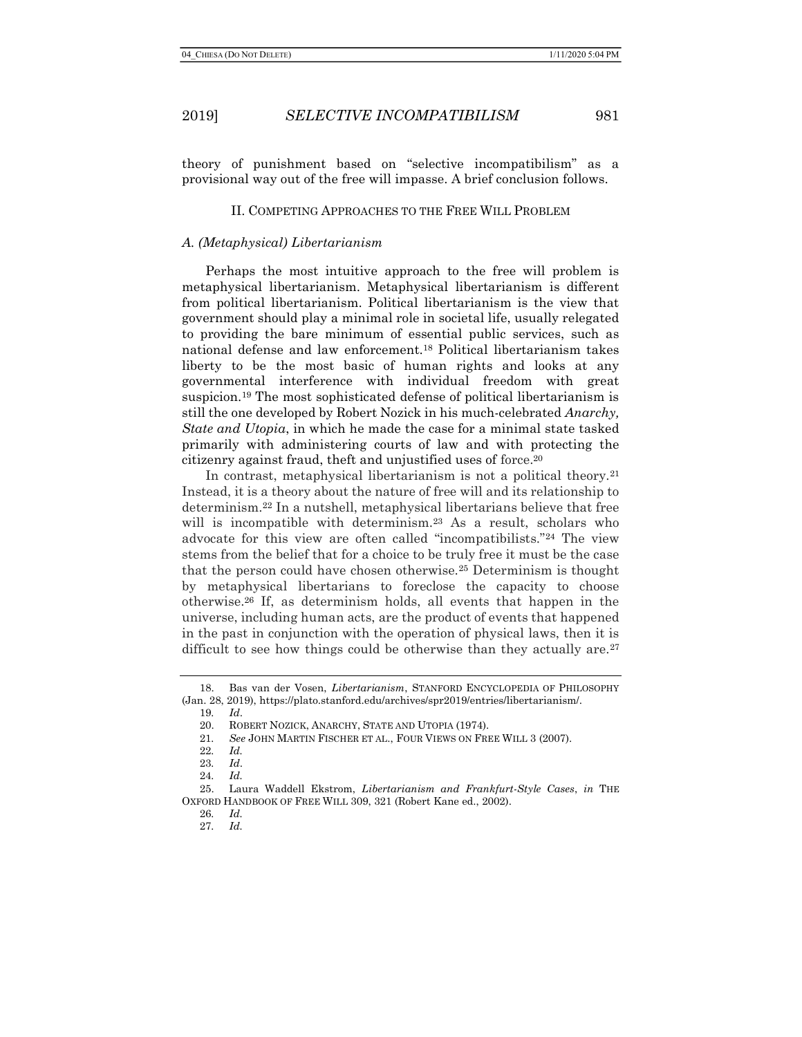theory of punishment based on "selective incompatibilism" as a provisional way out of the free will impasse. A brief conclusion follows.

#### II. COMPETING APPROACHES TO THE FREE WILL PROBLEM

### A. (Metaphysical) Libertarianism

Perhaps the most intuitive approach to the free will problem is metaphysical libertarianism. Metaphysical libertarianism is different from political libertarianism. Political libertarianism is the view that government should play a minimal role in societal life, usually relegated to providing the bare minimum of essential public services, such as national defense and law enforcement.18 Political libertarianism takes liberty to be the most basic of human rights and looks at any governmental interference with individual freedom with great suspicion.19 The most sophisticated defense of political libertarianism is still the one developed by Robert Nozick in his much-celebrated Anarchy, State and Utopia, in which he made the case for a minimal state tasked primarily with administering courts of law and with protecting the citizenry against fraud, theft and unjustified uses of force.<sup>20</sup>

In contrast, metaphysical libertarianism is not a political theory.<sup>21</sup> Instead, it is a theory about the nature of free will and its relationship to determinism.22 In a nutshell, metaphysical libertarians believe that free will is incompatible with determinism.<sup>23</sup> As a result, scholars who advocate for this view are often called "incompatibilists."24 The view stems from the belief that for a choice to be truly free it must be the case that the person could have chosen otherwise.25 Determinism is thought by metaphysical libertarians to foreclose the capacity to choose otherwise.26 If, as determinism holds, all events that happen in the universe, including human acts, are the product of events that happened in the past in conjunction with the operation of physical laws, then it is difficult to see how things could be otherwise than they actually are.<sup>27</sup>

<sup>18.</sup> Bas van der Vosen, Libertarianism, STANFORD ENCYCLOPEDIA OF PHILOSOPHY (Jan. 28, 2019), https://plato.stanford.edu/archives/spr2019/entries/libertarianism/.

<sup>19</sup>. Id.

<sup>20.</sup> ROBERT NOZICK, ANARCHY, STATE AND UTOPIA (1974).

<sup>21</sup>. See JOHN MARTIN FISCHER ET AL., FOUR VIEWS ON FREE WILL 3 (2007).

<sup>22</sup>. Id.

<sup>23</sup>. Id.

<sup>24</sup>. Id.

<sup>25.</sup> Laura Waddell Ekstrom, Libertarianism and Frankfurt-Style Cases, in THE OXFORD HANDBOOK OF FREE WILL 309, 321 (Robert Kane ed., 2002).

<sup>26</sup>. Id. 27. Id.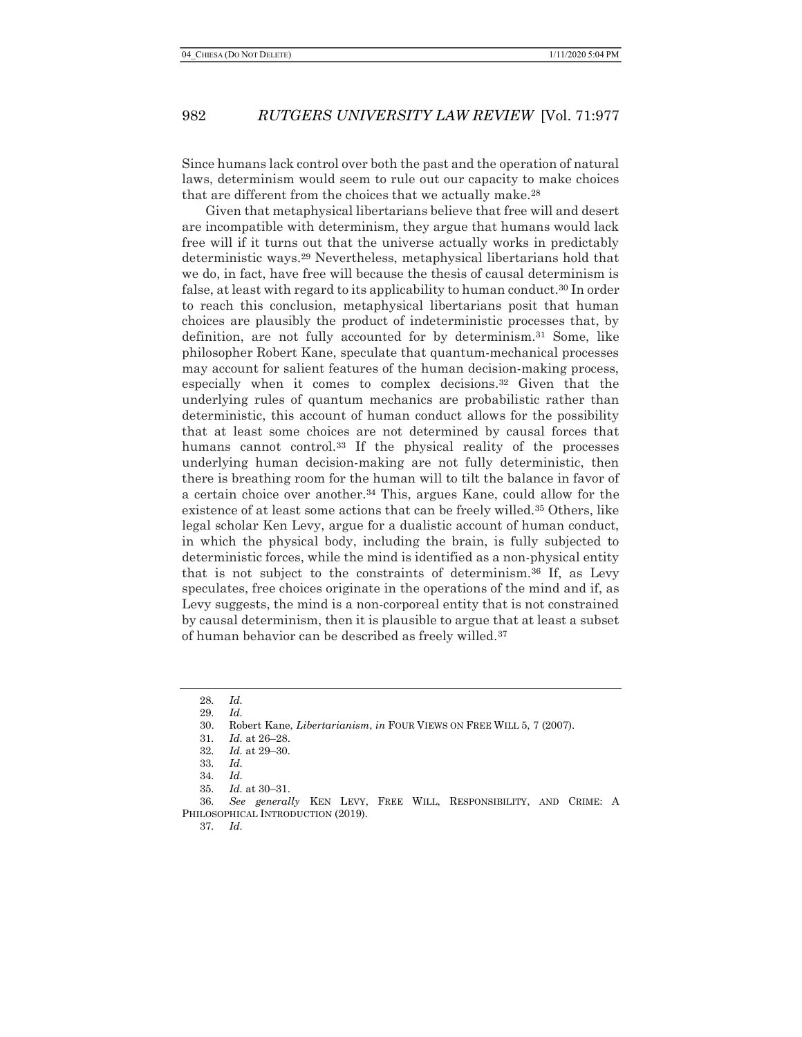Since humans lack control over both the past and the operation of natural laws, determinism would seem to rule out our capacity to make choices that are different from the choices that we actually make.<sup>28</sup>

Given that metaphysical libertarians believe that free will and desert are incompatible with determinism, they argue that humans would lack free will if it turns out that the universe actually works in predictably deterministic ways.29 Nevertheless, metaphysical libertarians hold that we do, in fact, have free will because the thesis of causal determinism is false, at least with regard to its applicability to human conduct.30 In order to reach this conclusion, metaphysical libertarians posit that human choices are plausibly the product of indeterministic processes that, by definition, are not fully accounted for by determinism.31 Some, like philosopher Robert Kane, speculate that quantum-mechanical processes may account for salient features of the human decision-making process, especially when it comes to complex decisions.32 Given that the underlying rules of quantum mechanics are probabilistic rather than deterministic, this account of human conduct allows for the possibility that at least some choices are not determined by causal forces that humans cannot control.33 If the physical reality of the processes underlying human decision-making are not fully deterministic, then there is breathing room for the human will to tilt the balance in favor of a certain choice over another.34 This, argues Kane, could allow for the existence of at least some actions that can be freely willed.35 Others, like legal scholar Ken Levy, argue for a dualistic account of human conduct, in which the physical body, including the brain, is fully subjected to deterministic forces, while the mind is identified as a non-physical entity that is not subject to the constraints of determinism.36 If, as Levy speculates, free choices originate in the operations of the mind and if, as Levy suggests, the mind is a non-corporeal entity that is not constrained by causal determinism, then it is plausible to argue that at least a subset of human behavior can be described as freely willed.<sup>37</sup>

37. Id.

<sup>28</sup>. Id. 29. Id.

<sup>30.</sup> Robert Kane, Libertarianism, in FOUR VIEWS ON FREE WILL 5, 7 (2007).

<sup>31</sup>. Id. at 26–28.

<sup>32</sup>. Id. at 29–30.

<sup>33</sup>. Id.

<sup>34</sup>. Id.

<sup>35</sup>. Id. at 30–31.

<sup>36</sup>. See generally KEN LEVY, FREE WILL, RESPONSIBILITY, AND CRIME: A PHILOSOPHICAL INTRODUCTION (2019).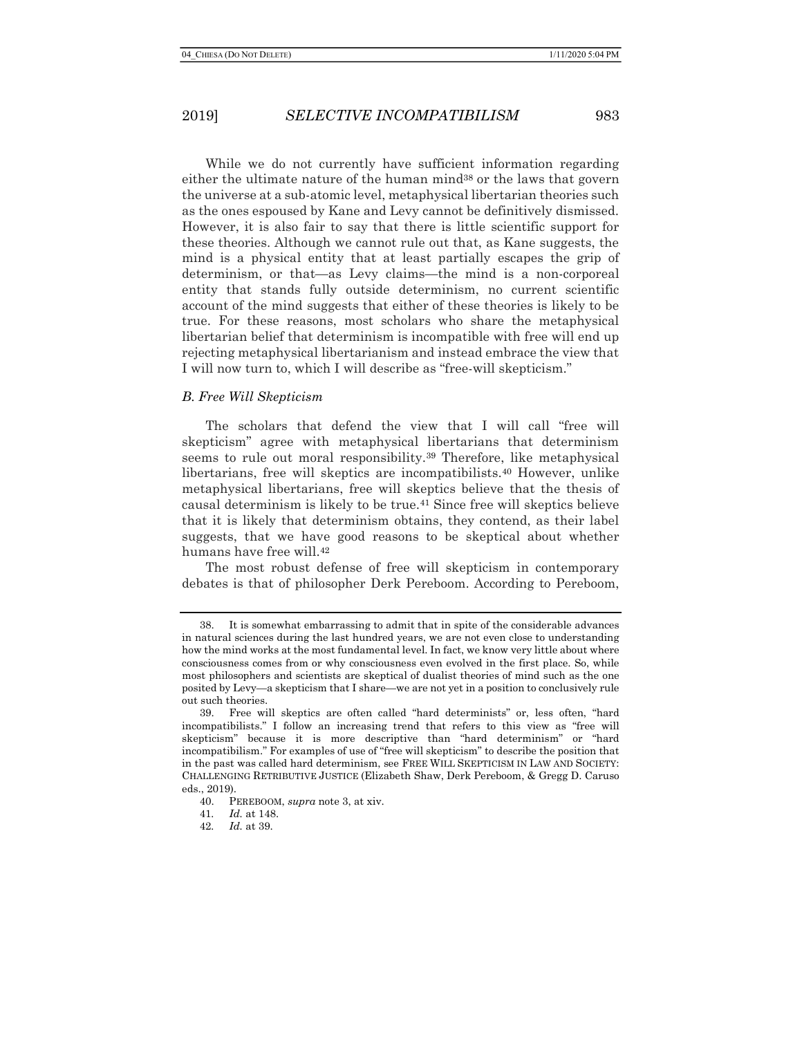While we do not currently have sufficient information regarding either the ultimate nature of the human mind38 or the laws that govern the universe at a sub-atomic level, metaphysical libertarian theories such as the ones espoused by Kane and Levy cannot be definitively dismissed. However, it is also fair to say that there is little scientific support for these theories. Although we cannot rule out that, as Kane suggests, the mind is a physical entity that at least partially escapes the grip of determinism, or that—as Levy claims—the mind is a non-corporeal entity that stands fully outside determinism, no current scientific account of the mind suggests that either of these theories is likely to be true. For these reasons, most scholars who share the metaphysical libertarian belief that determinism is incompatible with free will end up rejecting metaphysical libertarianism and instead embrace the view that I will now turn to, which I will describe as "free-will skepticism."

### B. Free Will Skepticism

The scholars that defend the view that I will call "free will skepticism" agree with metaphysical libertarians that determinism seems to rule out moral responsibility.<sup>39</sup> Therefore, like metaphysical libertarians, free will skeptics are incompatibilists.40 However, unlike metaphysical libertarians, free will skeptics believe that the thesis of causal determinism is likely to be true.41 Since free will skeptics believe that it is likely that determinism obtains, they contend, as their label suggests, that we have good reasons to be skeptical about whether humans have free will.<sup>42</sup>

The most robust defense of free will skepticism in contemporary debates is that of philosopher Derk Pereboom. According to Pereboom,

<sup>38.</sup> It is somewhat embarrassing to admit that in spite of the considerable advances in natural sciences during the last hundred years, we are not even close to understanding how the mind works at the most fundamental level. In fact, we know very little about where consciousness comes from or why consciousness even evolved in the first place. So, while most philosophers and scientists are skeptical of dualist theories of mind such as the one posited by Levy—a skepticism that I share—we are not yet in a position to conclusively rule out such theories.

<sup>39.</sup> Free will skeptics are often called "hard determinists" or, less often, "hard incompatibilists." I follow an increasing trend that refers to this view as "free will skepticism" because it is more descriptive than "hard determinism" or "hard incompatibilism." For examples of use of "free will skepticism" to describe the position that in the past was called hard determinism, see FREE WILL SKEPTICISM IN LAW AND SOCIETY: CHALLENGING RETRIBUTIVE JUSTICE (Elizabeth Shaw, Derk Pereboom, & Gregg D. Caruso eds., 2019).

<sup>40.</sup> PEREBOOM, supra note 3, at xiv.

<sup>41</sup>. Id. at 148.

<sup>42</sup>. Id. at 39.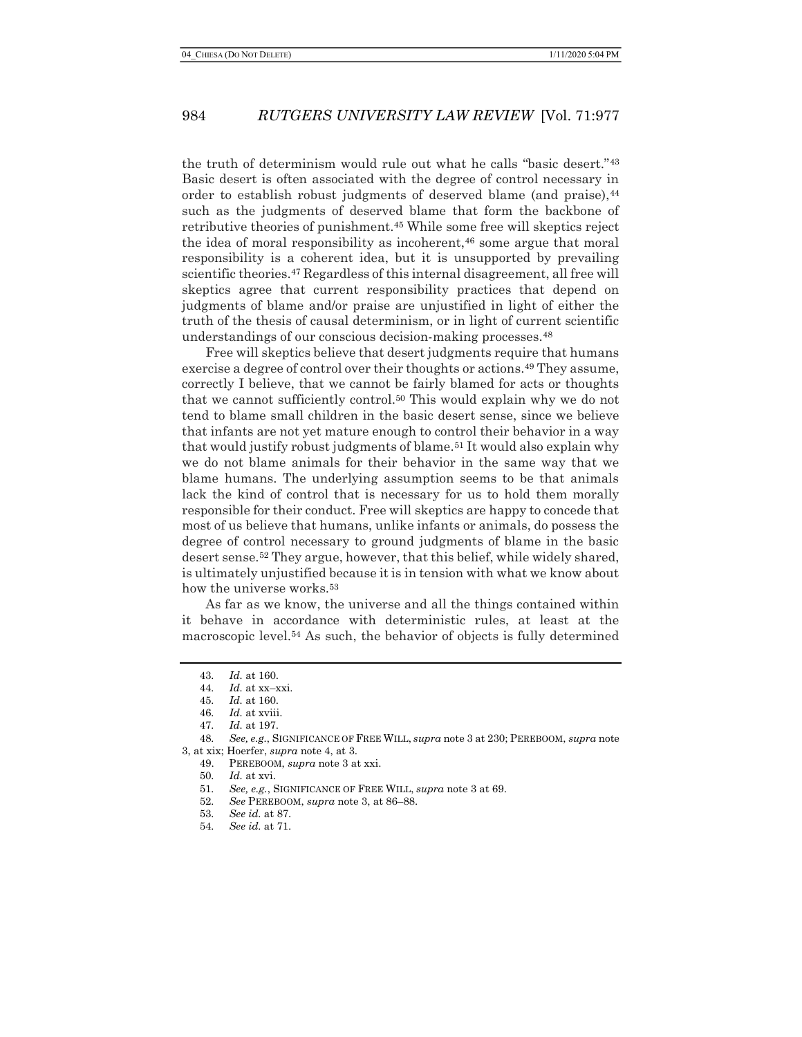the truth of determinism would rule out what he calls "basic desert."<sup>43</sup> Basic desert is often associated with the degree of control necessary in order to establish robust judgments of deserved blame (and praise), 44 such as the judgments of deserved blame that form the backbone of retributive theories of punishment.45 While some free will skeptics reject the idea of moral responsibility as incoherent, $46$  some argue that moral responsibility is a coherent idea, but it is unsupported by prevailing scientific theories.<sup>47</sup> Regardless of this internal disagreement, all free will skeptics agree that current responsibility practices that depend on judgments of blame and/or praise are unjustified in light of either the truth of the thesis of causal determinism, or in light of current scientific understandings of our conscious decision-making processes.<sup>48</sup>

Free will skeptics believe that desert judgments require that humans exercise a degree of control over their thoughts or actions.<sup>49</sup> They assume, correctly I believe, that we cannot be fairly blamed for acts or thoughts that we cannot sufficiently control.50 This would explain why we do not tend to blame small children in the basic desert sense, since we believe that infants are not yet mature enough to control their behavior in a way that would justify robust judgments of blame.51 It would also explain why we do not blame animals for their behavior in the same way that we blame humans. The underlying assumption seems to be that animals lack the kind of control that is necessary for us to hold them morally responsible for their conduct. Free will skeptics are happy to concede that most of us believe that humans, unlike infants or animals, do possess the degree of control necessary to ground judgments of blame in the basic desert sense.52 They argue, however, that this belief, while widely shared, is ultimately unjustified because it is in tension with what we know about how the universe works.<sup>53</sup>

As far as we know, the universe and all the things contained within it behave in accordance with deterministic rules, at least at the macroscopic level.54 As such, the behavior of objects is fully determined

<sup>43</sup>. Id. at 160.

<sup>44.</sup>  $Id.$  at xx-xxi.

<sup>45</sup>. Id. at 160.

<sup>46.</sup> Id. at xviii.

<sup>47</sup>. Id. at 197.

<sup>48.</sup> See, e.g., SIGNIFICANCE OF FREE WILL, supra note 3 at 230; PEREBOOM, supra note 3, at xix; Hoerfer, supra note 4, at 3.

<sup>49.</sup> PEREBOOM, supra note 3 at xxi.

<sup>50</sup>. Id. at xvi.

<sup>51</sup>. See, e.g., SIGNIFICANCE OF FREE WILL, supra note 3 at 69.

<sup>52</sup>. See PEREBOOM, supra note 3, at 86–88.

<sup>53</sup>. See id. at 87.

<sup>54</sup>. See id. at 71.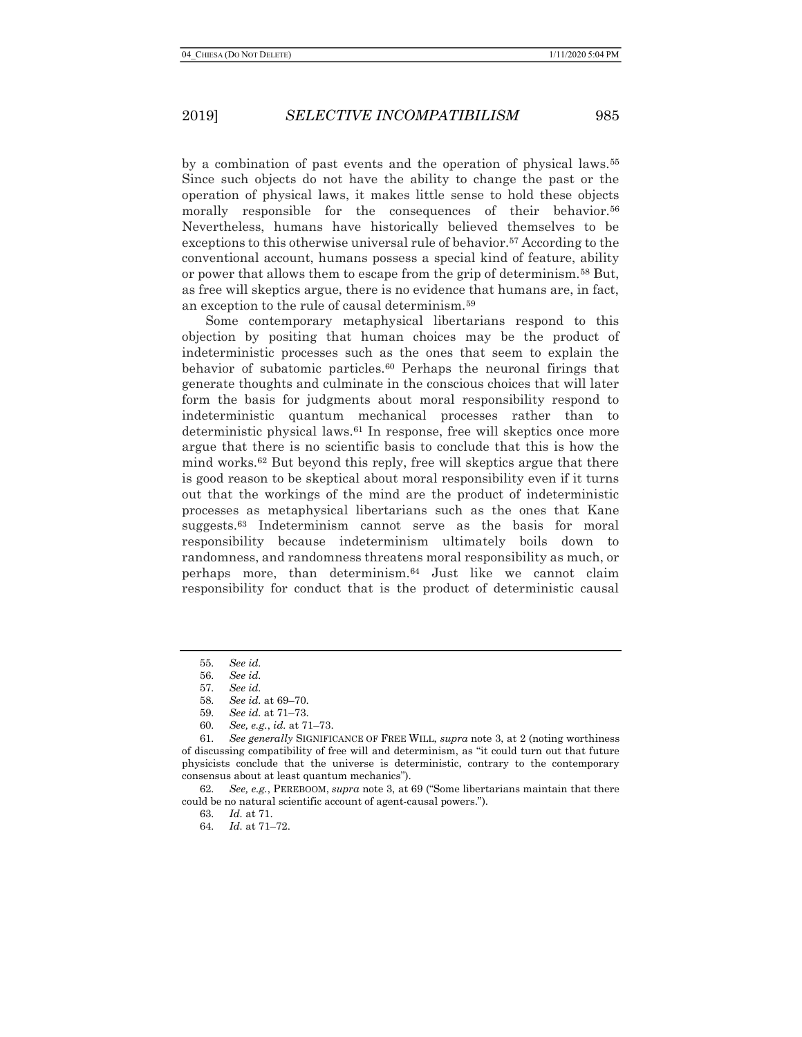by a combination of past events and the operation of physical laws.<sup>55</sup> Since such objects do not have the ability to change the past or the operation of physical laws, it makes little sense to hold these objects morally responsible for the consequences of their behavior.<sup>56</sup> Nevertheless, humans have historically believed themselves to be exceptions to this otherwise universal rule of behavior.57 According to the conventional account, humans possess a special kind of feature, ability or power that allows them to escape from the grip of determinism.58 But, as free will skeptics argue, there is no evidence that humans are, in fact, an exception to the rule of causal determinism.<sup>59</sup>

Some contemporary metaphysical libertarians respond to this objection by positing that human choices may be the product of indeterministic processes such as the ones that seem to explain the behavior of subatomic particles.60 Perhaps the neuronal firings that generate thoughts and culminate in the conscious choices that will later form the basis for judgments about moral responsibility respond to indeterministic quantum mechanical processes rather than to deterministic physical laws.61 In response, free will skeptics once more argue that there is no scientific basis to conclude that this is how the mind works. $62$  But beyond this reply, free will skeptics argue that there is good reason to be skeptical about moral responsibility even if it turns out that the workings of the mind are the product of indeterministic processes as metaphysical libertarians such as the ones that Kane suggests.<sup>63</sup> Indeterminism cannot serve as the basis for moral responsibility because indeterminism ultimately boils down to randomness, and randomness threatens moral responsibility as much, or perhaps more, than determinism.64 Just like we cannot claim responsibility for conduct that is the product of deterministic causal

64. Id. at 71–72.

<sup>55</sup>. See id.

<sup>56</sup>. See id.

<sup>57</sup>. See id.

<sup>58</sup>. See id. at 69–70.

<sup>59</sup>. See id. at 71–73.

<sup>60</sup>. See, e.g., id. at 71–73.

<sup>61</sup>. See generally SIGNIFICANCE OF FREE WILL, supra note 3, at 2 (noting worthiness of discussing compatibility of free will and determinism, as "it could turn out that future physicists conclude that the universe is deterministic, contrary to the contemporary consensus about at least quantum mechanics").

<sup>62.</sup> See, e.g., PEREBOOM, supra note 3, at 69 ("Some libertarians maintain that there could be no natural scientific account of agent-causal powers.").

<sup>63</sup>. Id. at 71.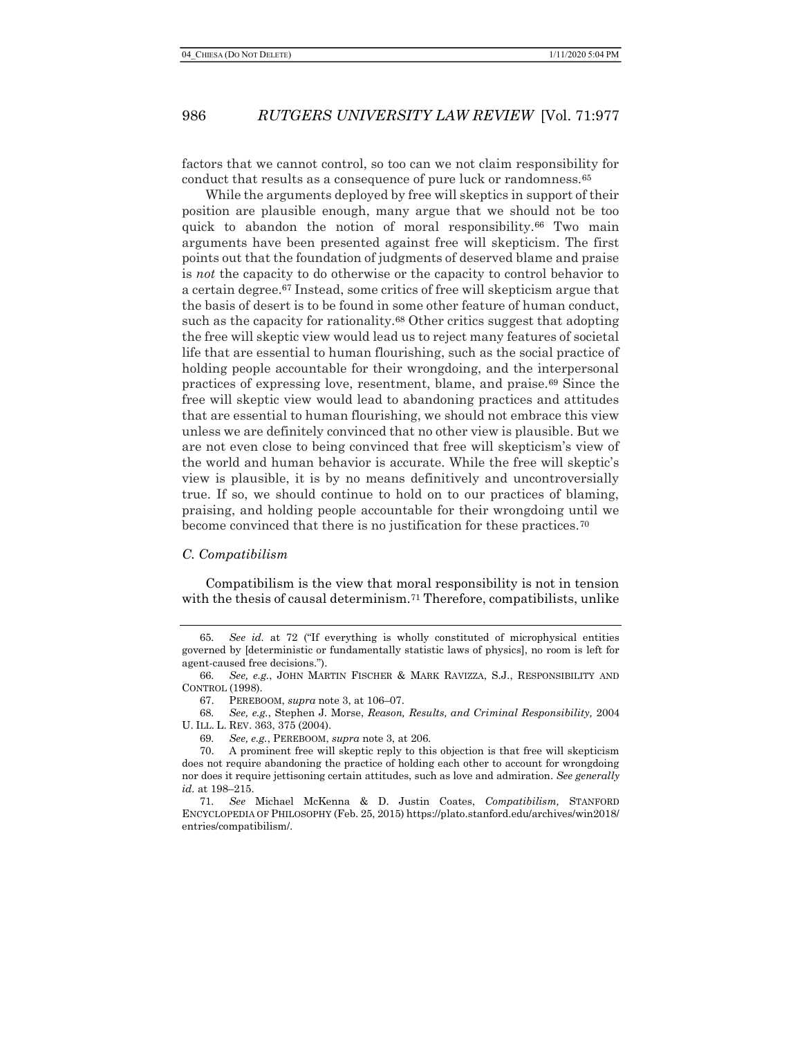factors that we cannot control, so too can we not claim responsibility for conduct that results as a consequence of pure luck or randomness.<sup>65</sup>

While the arguments deployed by free will skeptics in support of their position are plausible enough, many argue that we should not be too quick to abandon the notion of moral responsibility.<sup>66</sup> Two main arguments have been presented against free will skepticism. The first points out that the foundation of judgments of deserved blame and praise is not the capacity to do otherwise or the capacity to control behavior to a certain degree.67 Instead, some critics of free will skepticism argue that the basis of desert is to be found in some other feature of human conduct, such as the capacity for rationality.68 Other critics suggest that adopting the free will skeptic view would lead us to reject many features of societal life that are essential to human flourishing, such as the social practice of holding people accountable for their wrongdoing, and the interpersonal practices of expressing love, resentment, blame, and praise.69 Since the free will skeptic view would lead to abandoning practices and attitudes that are essential to human flourishing, we should not embrace this view unless we are definitely convinced that no other view is plausible. But we are not even close to being convinced that free will skepticism's view of the world and human behavior is accurate. While the free will skeptic's view is plausible, it is by no means definitively and uncontroversially true. If so, we should continue to hold on to our practices of blaming, praising, and holding people accountable for their wrongdoing until we become convinced that there is no justification for these practices.<sup>70</sup>

#### C. Compatibilism

Compatibilism is the view that moral responsibility is not in tension with the thesis of causal determinism.<sup>71</sup> Therefore, compatibilists, unlike

<sup>65</sup>. See id. at 72 ("If everything is wholly constituted of microphysical entities governed by [deterministic or fundamentally statistic laws of physics], no room is left for agent-caused free decisions.").

<sup>66</sup>. See, e.g., JOHN MARTIN FISCHER & MARK RAVIZZA, S.J., RESPONSIBILITY AND CONTROL (1998).

<sup>67.</sup> PEREBOOM, supra note 3, at 106–07.

<sup>68</sup>. See, e.g., Stephen J. Morse, Reason, Results, and Criminal Responsibility, 2004 U. ILL. L. REV. 363, 375 (2004).

<sup>69</sup>. See, e.g., PEREBOOM, supra note 3, at 206.

<sup>70.</sup> A prominent free will skeptic reply to this objection is that free will skepticism does not require abandoning the practice of holding each other to account for wrongdoing nor does it require jettisoning certain attitudes, such as love and admiration. See generally id. at 198–215.

<sup>71</sup>. See Michael McKenna & D. Justin Coates, Compatibilism, STANFORD ENCYCLOPEDIA OF PHILOSOPHY (Feb. 25, 2015) https://plato.stanford.edu/archives/win2018/ entries/compatibilism/.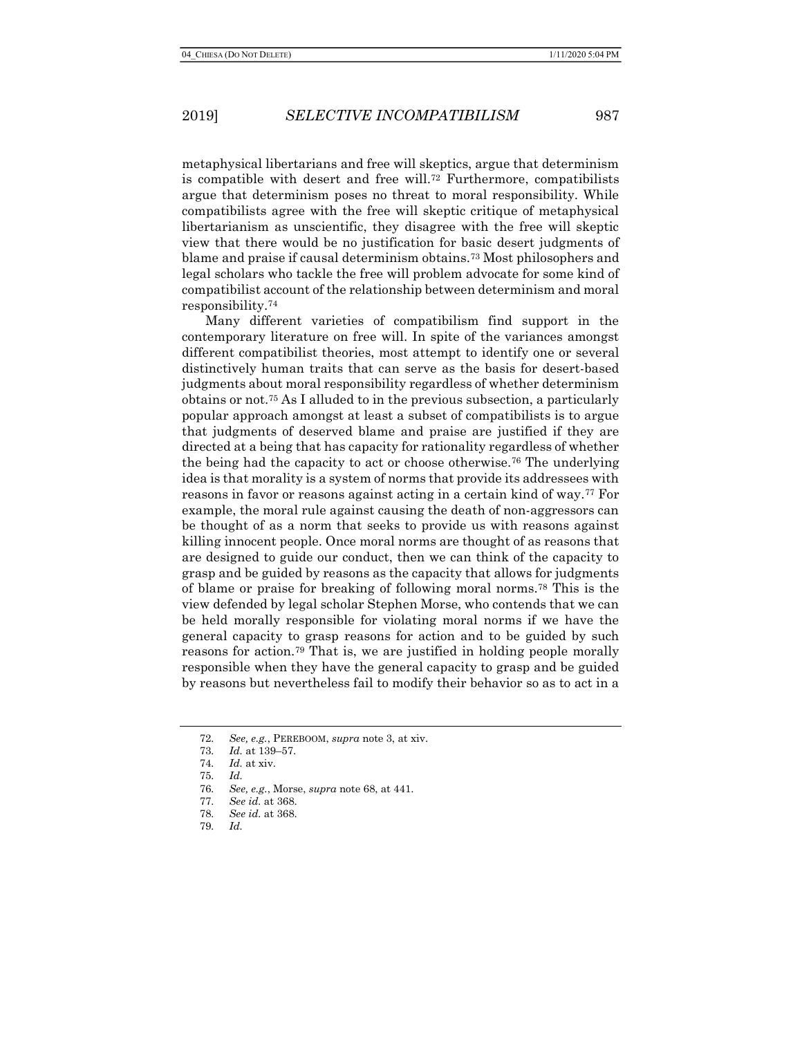metaphysical libertarians and free will skeptics, argue that determinism is compatible with desert and free will.72 Furthermore, compatibilists argue that determinism poses no threat to moral responsibility. While compatibilists agree with the free will skeptic critique of metaphysical libertarianism as unscientific, they disagree with the free will skeptic view that there would be no justification for basic desert judgments of blame and praise if causal determinism obtains.73 Most philosophers and legal scholars who tackle the free will problem advocate for some kind of compatibilist account of the relationship between determinism and moral responsibility.<sup>74</sup>

Many different varieties of compatibilism find support in the contemporary literature on free will. In spite of the variances amongst different compatibilist theories, most attempt to identify one or several distinctively human traits that can serve as the basis for desert-based judgments about moral responsibility regardless of whether determinism obtains or not.75 As I alluded to in the previous subsection, a particularly popular approach amongst at least a subset of compatibilists is to argue that judgments of deserved blame and praise are justified if they are directed at a being that has capacity for rationality regardless of whether the being had the capacity to act or choose otherwise.76 The underlying idea is that morality is a system of norms that provide its addressees with reasons in favor or reasons against acting in a certain kind of way.<sup>77</sup> For example, the moral rule against causing the death of non-aggressors can be thought of as a norm that seeks to provide us with reasons against killing innocent people. Once moral norms are thought of as reasons that are designed to guide our conduct, then we can think of the capacity to grasp and be guided by reasons as the capacity that allows for judgments of blame or praise for breaking of following moral norms.78 This is the view defended by legal scholar Stephen Morse, who contends that we can be held morally responsible for violating moral norms if we have the general capacity to grasp reasons for action and to be guided by such reasons for action.79 That is, we are justified in holding people morally responsible when they have the general capacity to grasp and be guided by reasons but nevertheless fail to modify their behavior so as to act in a

<sup>72</sup>. See, e.g., PEREBOOM, supra note 3, at xiv.

<sup>73</sup>. Id. at 139–57.

<sup>74</sup>. Id. at xiv.

<sup>75</sup>. Id.

<sup>76</sup>. See, e.g., Morse, supra note 68, at 441.

<sup>77</sup>. See id. at 368.

<sup>78</sup>. See id. at 368.

<sup>79</sup>. Id.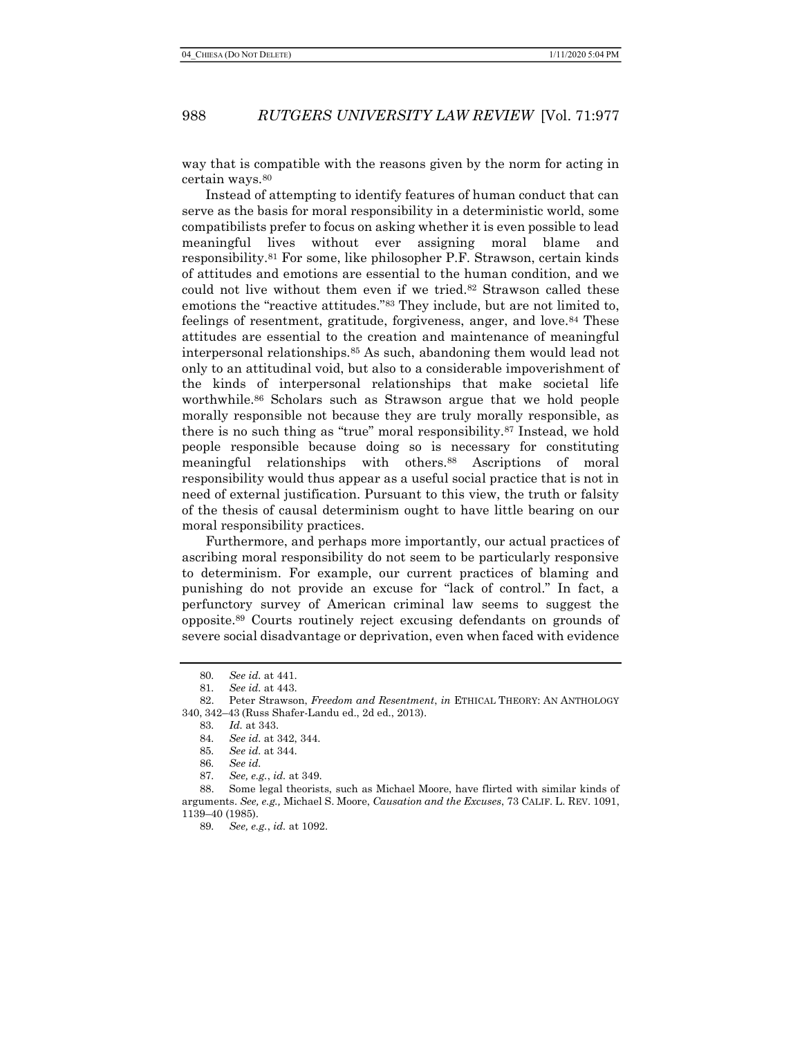way that is compatible with the reasons given by the norm for acting in certain ways.<sup>80</sup>

Instead of attempting to identify features of human conduct that can serve as the basis for moral responsibility in a deterministic world, some compatibilists prefer to focus on asking whether it is even possible to lead meaningful lives without ever assigning moral blame and responsibility.81 For some, like philosopher P.F. Strawson, certain kinds of attitudes and emotions are essential to the human condition, and we could not live without them even if we tried.<sup>82</sup> Strawson called these emotions the "reactive attitudes."83 They include, but are not limited to, feelings of resentment, gratitude, forgiveness, anger, and love.84 These attitudes are essential to the creation and maintenance of meaningful interpersonal relationships.85 As such, abandoning them would lead not only to an attitudinal void, but also to a considerable impoverishment of the kinds of interpersonal relationships that make societal life worthwhile.86 Scholars such as Strawson argue that we hold people morally responsible not because they are truly morally responsible, as there is no such thing as "true" moral responsibility.87 Instead, we hold people responsible because doing so is necessary for constituting meaningful relationships with others.88 Ascriptions of moral responsibility would thus appear as a useful social practice that is not in need of external justification. Pursuant to this view, the truth or falsity of the thesis of causal determinism ought to have little bearing on our moral responsibility practices.

Furthermore, and perhaps more importantly, our actual practices of ascribing moral responsibility do not seem to be particularly responsive to determinism. For example, our current practices of blaming and punishing do not provide an excuse for "lack of control." In fact, a perfunctory survey of American criminal law seems to suggest the opposite.89 Courts routinely reject excusing defendants on grounds of severe social disadvantage or deprivation, even when faced with evidence

<sup>80</sup>. See id. at 441.

<sup>81</sup>. See id. at 443.

<sup>82.</sup> Peter Strawson, Freedom and Resentment, in ETHICAL THEORY: AN ANTHOLOGY 340, 342–43 (Russ Shafer-Landu ed., 2d ed., 2013).

<sup>83</sup>. Id. at 343.

<sup>84</sup>. See id. at 342, 344.

<sup>85</sup>. See id. at 344.

<sup>86</sup>. See id.

<sup>87</sup>. See, e.g., id. at 349.

<sup>88.</sup> Some legal theorists, such as Michael Moore, have flirted with similar kinds of arguments. See, e.g., Michael S. Moore, Causation and the Excuses, 73 CALIF. L. REV. 1091, 1139–40 (1985).

<sup>89</sup>. See, e.g., id. at 1092.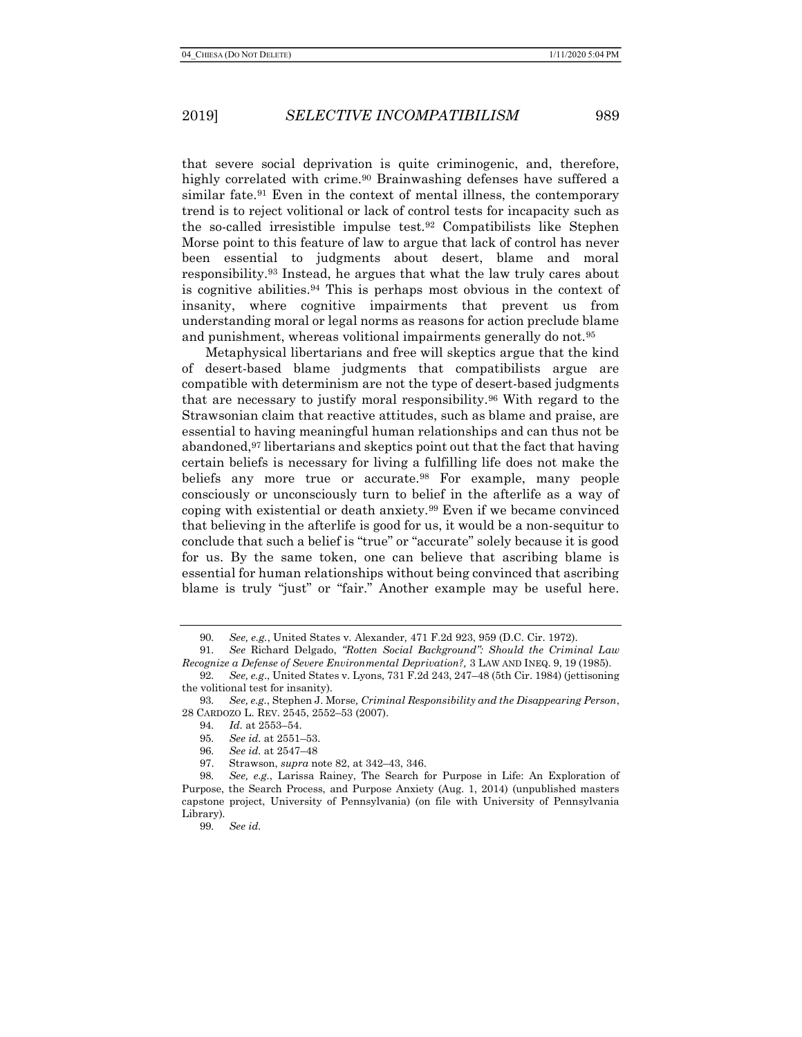that severe social deprivation is quite criminogenic, and, therefore, highly correlated with crime.<sup>90</sup> Brainwashing defenses have suffered a similar fate.<sup>91</sup> Even in the context of mental illness, the contemporary trend is to reject volitional or lack of control tests for incapacity such as the so-called irresistible impulse test.92 Compatibilists like Stephen Morse point to this feature of law to argue that lack of control has never been essential to judgments about desert, blame and moral responsibility.93 Instead, he argues that what the law truly cares about is cognitive abilities.<sup>94</sup> This is perhaps most obvious in the context of insanity, where cognitive impairments that prevent us from understanding moral or legal norms as reasons for action preclude blame and punishment, whereas volitional impairments generally do not.<sup>95</sup>

Metaphysical libertarians and free will skeptics argue that the kind of desert-based blame judgments that compatibilists argue are compatible with determinism are not the type of desert-based judgments that are necessary to justify moral responsibility.96 With regard to the Strawsonian claim that reactive attitudes, such as blame and praise, are essential to having meaningful human relationships and can thus not be abandoned,97 libertarians and skeptics point out that the fact that having certain beliefs is necessary for living a fulfilling life does not make the beliefs any more true or accurate.<sup>98</sup> For example, many people consciously or unconsciously turn to belief in the afterlife as a way of coping with existential or death anxiety.99 Even if we became convinced that believing in the afterlife is good for us, it would be a non-sequitur to conclude that such a belief is "true" or "accurate" solely because it is good for us. By the same token, one can believe that ascribing blame is essential for human relationships without being convinced that ascribing blame is truly "just" or "fair." Another example may be useful here.

92. See, e.g., United States v. Lyons, 731 F.2d 243, 247–48 (5th Cir. 1984) (jettisoning the volitional test for insanity).

- 96. See id. at 2547–48
- 97. Strawson, supra note 82, at 342–43, 346.

<sup>90</sup>. See, e.g., United States v. Alexander, 471 F.2d 923, 959 (D.C. Cir. 1972).

<sup>91</sup>. See Richard Delgado, "Rotten Social Background": Should the Criminal Law Recognize a Defense of Severe Environmental Deprivation?, 3 LAW AND INEQ. 9, 19 (1985).

<sup>93</sup>. See, e.g., Stephen J. Morse, Criminal Responsibility and the Disappearing Person, 28 CARDOZO L. REV. 2545, 2552–53 (2007).

<sup>94</sup>. Id. at 2553–54.

<sup>95</sup>. See id. at 2551–53.

<sup>98</sup>. See, e.g., Larissa Rainey, The Search for Purpose in Life: An Exploration of Purpose, the Search Process, and Purpose Anxiety (Aug. 1, 2014) (unpublished masters capstone project, University of Pennsylvania) (on file with University of Pennsylvania Library).

<sup>99</sup>. See id.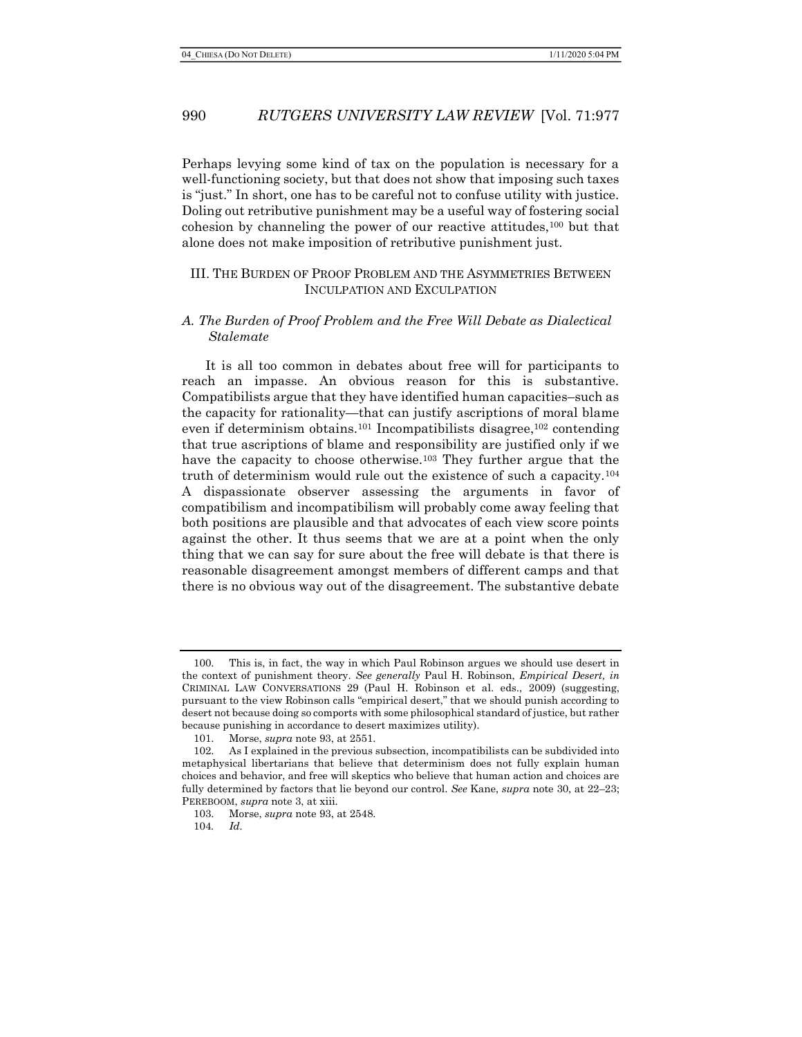Perhaps levying some kind of tax on the population is necessary for a well-functioning society, but that does not show that imposing such taxes is "just." In short, one has to be careful not to confuse utility with justice. Doling out retributive punishment may be a useful way of fostering social cohesion by channeling the power of our reactive attitudes, $100$  but that alone does not make imposition of retributive punishment just.

### III. THE BURDEN OF PROOF PROBLEM AND THE ASYMMETRIES BETWEEN INCULPATION AND EXCULPATION

### A. The Burden of Proof Problem and the Free Will Debate as Dialectical Stalemate

It is all too common in debates about free will for participants to reach an impasse. An obvious reason for this is substantive. Compatibilists argue that they have identified human capacities–such as the capacity for rationality—that can justify ascriptions of moral blame even if determinism obtains.101 Incompatibilists disagree,102 contending that true ascriptions of blame and responsibility are justified only if we have the capacity to choose otherwise.<sup>103</sup> They further argue that the truth of determinism would rule out the existence of such a capacity.<sup>104</sup> A dispassionate observer assessing the arguments in favor of compatibilism and incompatibilism will probably come away feeling that both positions are plausible and that advocates of each view score points against the other. It thus seems that we are at a point when the only thing that we can say for sure about the free will debate is that there is reasonable disagreement amongst members of different camps and that there is no obvious way out of the disagreement. The substantive debate

104. Id.

This is, in fact, the way in which Paul Robinson argues we should use desert in the context of punishment theory. See generally Paul H. Robinson, *Empirical Desert, in* CRIMINAL LAW CONVERSATIONS 29 (Paul H. Robinson et al. eds., 2009) (suggesting, pursuant to the view Robinson calls "empirical desert," that we should punish according to desert not because doing so comports with some philosophical standard of justice, but rather because punishing in accordance to desert maximizes utility).

<sup>101.</sup> Morse, supra note 93, at 2551.

<sup>102.</sup> As I explained in the previous subsection, incompatibilists can be subdivided into metaphysical libertarians that believe that determinism does not fully explain human choices and behavior, and free will skeptics who believe that human action and choices are fully determined by factors that lie beyond our control. See Kane, supra note 30, at 22–23; PEREBOOM, *supra* note 3, at xiii.

<sup>103.</sup> Morse, supra note 93, at 2548.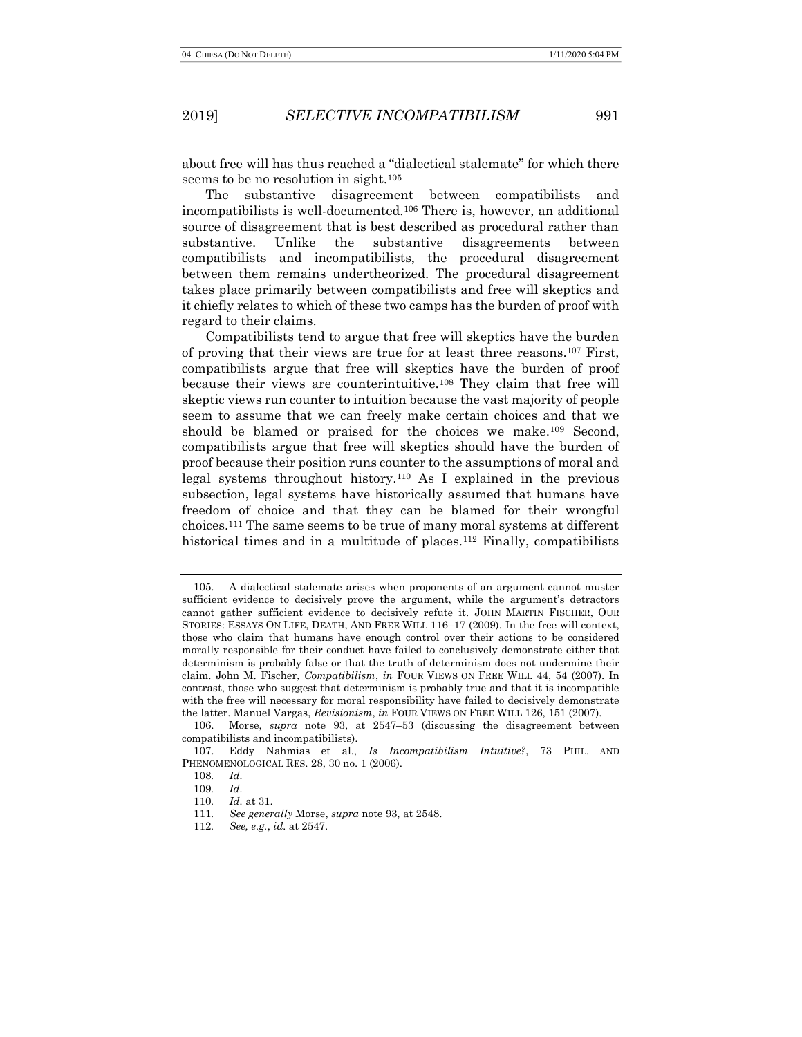about free will has thus reached a "dialectical stalemate" for which there seems to be no resolution in sight.<sup>105</sup>

The substantive disagreement between compatibilists and incompatibilists is well-documented.106 There is, however, an additional source of disagreement that is best described as procedural rather than substantive. Unlike the substantive disagreements between compatibilists and incompatibilists, the procedural disagreement between them remains undertheorized. The procedural disagreement takes place primarily between compatibilists and free will skeptics and it chiefly relates to which of these two camps has the burden of proof with regard to their claims.

Compatibilists tend to argue that free will skeptics have the burden of proving that their views are true for at least three reasons.107 First, compatibilists argue that free will skeptics have the burden of proof because their views are counterintuitive.108 They claim that free will skeptic views run counter to intuition because the vast majority of people seem to assume that we can freely make certain choices and that we should be blamed or praised for the choices we make.109 Second, compatibilists argue that free will skeptics should have the burden of proof because their position runs counter to the assumptions of moral and legal systems throughout history.110 As I explained in the previous subsection, legal systems have historically assumed that humans have freedom of choice and that they can be blamed for their wrongful choices.111 The same seems to be true of many moral systems at different historical times and in a multitude of places.<sup>112</sup> Finally, compatibilists

<sup>105.</sup> A dialectical stalemate arises when proponents of an argument cannot muster sufficient evidence to decisively prove the argument, while the argument's detractors cannot gather sufficient evidence to decisively refute it. JOHN MARTIN FISCHER, OUR STORIES: ESSAYS ON LIFE, DEATH, AND FREE WILL 116–17 (2009). In the free will context, those who claim that humans have enough control over their actions to be considered morally responsible for their conduct have failed to conclusively demonstrate either that determinism is probably false or that the truth of determinism does not undermine their claim. John M. Fischer, Compatibilism, in FOUR VIEWS ON FREE WILL 44, 54 (2007). In contrast, those who suggest that determinism is probably true and that it is incompatible with the free will necessary for moral responsibility have failed to decisively demonstrate the latter. Manuel Vargas, Revisionism, in FOUR VIEWS ON FREE WILL 126, 151 (2007).

<sup>106.</sup> Morse, supra note 93, at 2547–53 (discussing the disagreement between compatibilists and incompatibilists).

<sup>107.</sup> Eddy Nahmias et al., Is Incompatibilism Intuitive?, 73 PHIL. AND PHENOMENOLOGICAL RES. 28, 30 no. 1 (2006).

<sup>108</sup>. Id.

<sup>109</sup>. Id.

<sup>110</sup>. Id. at 31.

<sup>111</sup>. See generally Morse, supra note 93, at 2548.

<sup>112</sup>. See, e.g., id. at 2547.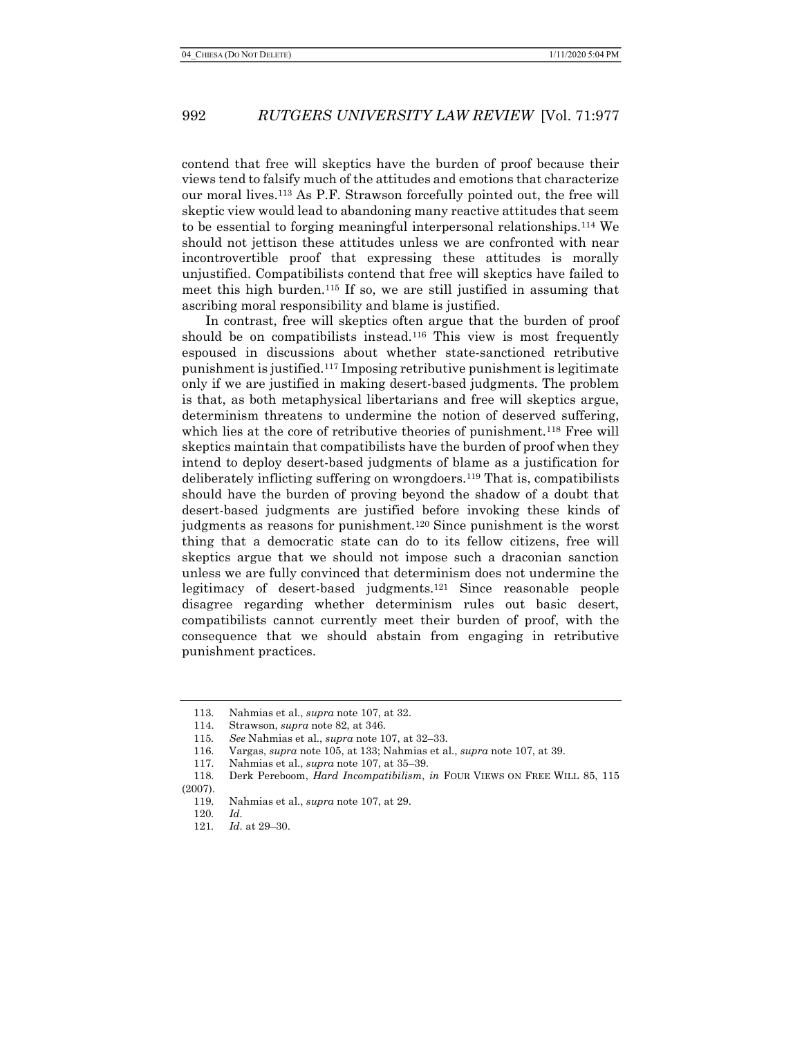contend that free will skeptics have the burden of proof because their views tend to falsify much of the attitudes and emotions that characterize our moral lives.113 As P.F. Strawson forcefully pointed out, the free will skeptic view would lead to abandoning many reactive attitudes that seem to be essential to forging meaningful interpersonal relationships.114 We should not jettison these attitudes unless we are confronted with near incontrovertible proof that expressing these attitudes is morally unjustified. Compatibilists contend that free will skeptics have failed to meet this high burden.115 If so, we are still justified in assuming that ascribing moral responsibility and blame is justified.

In contrast, free will skeptics often argue that the burden of proof should be on compatibilists instead.116 This view is most frequently espoused in discussions about whether state-sanctioned retributive punishment is justified.117 Imposing retributive punishment is legitimate only if we are justified in making desert-based judgments. The problem is that, as both metaphysical libertarians and free will skeptics argue, determinism threatens to undermine the notion of deserved suffering, which lies at the core of retributive theories of punishment.118 Free will skeptics maintain that compatibilists have the burden of proof when they intend to deploy desert-based judgments of blame as a justification for deliberately inflicting suffering on wrongdoers.119 That is, compatibilists should have the burden of proving beyond the shadow of a doubt that desert-based judgments are justified before invoking these kinds of judgments as reasons for punishment.<sup>120</sup> Since punishment is the worst thing that a democratic state can do to its fellow citizens, free will skeptics argue that we should not impose such a draconian sanction unless we are fully convinced that determinism does not undermine the legitimacy of desert-based judgments.121 Since reasonable people disagree regarding whether determinism rules out basic desert, compatibilists cannot currently meet their burden of proof, with the consequence that we should abstain from engaging in retributive punishment practices.

<sup>113.</sup> Nahmias et al., supra note 107, at 32.

<sup>114.</sup> Strawson, supra note 82, at 346.

<sup>115</sup>. See Nahmias et al., supra note 107, at 32–33.

<sup>116.</sup> Vargas, supra note 105, at 133; Nahmias et al., supra note 107, at 39.

<sup>117.</sup> Nahmias et al., supra note 107, at 35–39.

<sup>118.</sup> Derk Pereboom, Hard Incompatibilism, in FOUR VIEWS ON FREE WILL 85, 115 (2007).

<sup>119.</sup> Nahmias et al., supra note 107, at 29.

<sup>120</sup>. Id.

<sup>121</sup>. Id. at 29–30.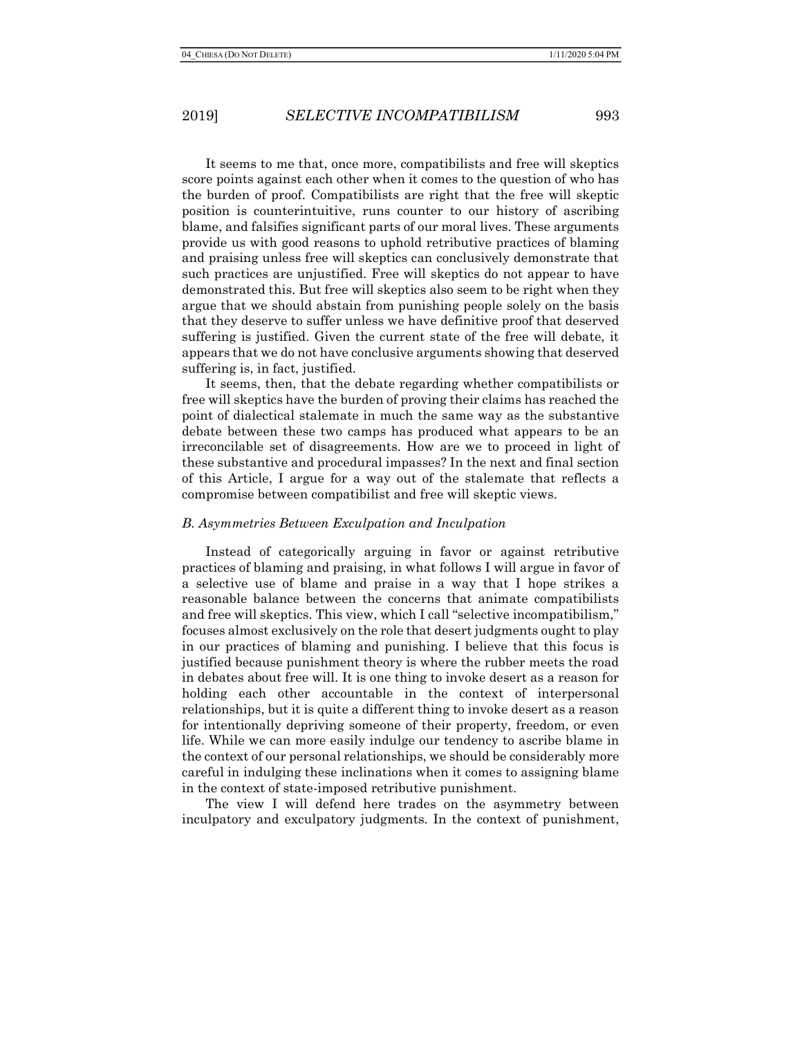It seems to me that, once more, compatibilists and free will skeptics score points against each other when it comes to the question of who has the burden of proof. Compatibilists are right that the free will skeptic position is counterintuitive, runs counter to our history of ascribing blame, and falsifies significant parts of our moral lives. These arguments provide us with good reasons to uphold retributive practices of blaming and praising unless free will skeptics can conclusively demonstrate that such practices are unjustified. Free will skeptics do not appear to have demonstrated this. But free will skeptics also seem to be right when they argue that we should abstain from punishing people solely on the basis that they deserve to suffer unless we have definitive proof that deserved suffering is justified. Given the current state of the free will debate, it appears that we do not have conclusive arguments showing that deserved suffering is, in fact, justified.

It seems, then, that the debate regarding whether compatibilists or free will skeptics have the burden of proving their claims has reached the point of dialectical stalemate in much the same way as the substantive debate between these two camps has produced what appears to be an irreconcilable set of disagreements. How are we to proceed in light of these substantive and procedural impasses? In the next and final section of this Article, I argue for a way out of the stalemate that reflects a compromise between compatibilist and free will skeptic views.

#### B. Asymmetries Between Exculpation and Inculpation

Instead of categorically arguing in favor or against retributive practices of blaming and praising, in what follows I will argue in favor of a selective use of blame and praise in a way that I hope strikes a reasonable balance between the concerns that animate compatibilists and free will skeptics. This view, which I call "selective incompatibilism," focuses almost exclusively on the role that desert judgments ought to play in our practices of blaming and punishing. I believe that this focus is justified because punishment theory is where the rubber meets the road in debates about free will. It is one thing to invoke desert as a reason for holding each other accountable in the context of interpersonal relationships, but it is quite a different thing to invoke desert as a reason for intentionally depriving someone of their property, freedom, or even life. While we can more easily indulge our tendency to ascribe blame in the context of our personal relationships, we should be considerably more careful in indulging these inclinations when it comes to assigning blame in the context of state-imposed retributive punishment.

The view I will defend here trades on the asymmetry between inculpatory and exculpatory judgments. In the context of punishment,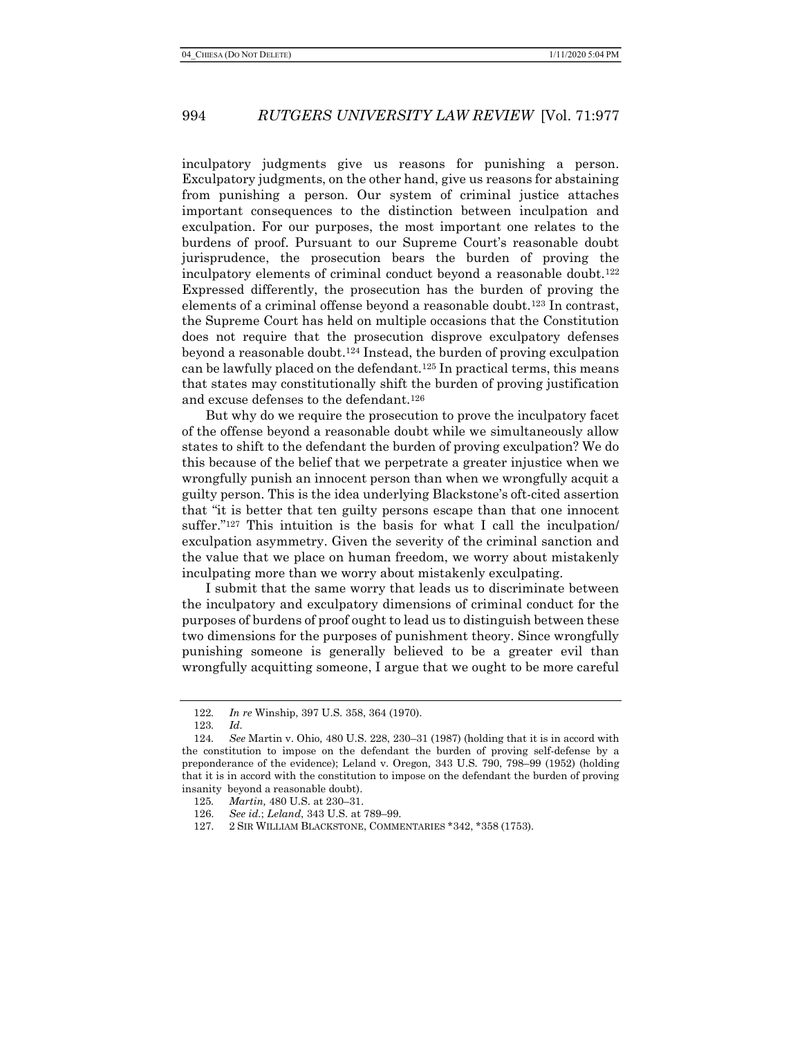inculpatory judgments give us reasons for punishing a person. Exculpatory judgments, on the other hand, give us reasons for abstaining from punishing a person. Our system of criminal justice attaches important consequences to the distinction between inculpation and exculpation. For our purposes, the most important one relates to the burdens of proof. Pursuant to our Supreme Court's reasonable doubt jurisprudence, the prosecution bears the burden of proving the inculpatory elements of criminal conduct beyond a reasonable doubt.<sup>122</sup> Expressed differently, the prosecution has the burden of proving the elements of a criminal offense beyond a reasonable doubt.123 In contrast, the Supreme Court has held on multiple occasions that the Constitution does not require that the prosecution disprove exculpatory defenses beyond a reasonable doubt.124 Instead, the burden of proving exculpation can be lawfully placed on the defendant.125 In practical terms, this means that states may constitutionally shift the burden of proving justification and excuse defenses to the defendant.<sup>126</sup>

But why do we require the prosecution to prove the inculpatory facet of the offense beyond a reasonable doubt while we simultaneously allow states to shift to the defendant the burden of proving exculpation? We do this because of the belief that we perpetrate a greater injustice when we wrongfully punish an innocent person than when we wrongfully acquit a guilty person. This is the idea underlying Blackstone's oft-cited assertion that "it is better that ten guilty persons escape than that one innocent suffer."<sup>127</sup> This intuition is the basis for what I call the inculpation/ exculpation asymmetry. Given the severity of the criminal sanction and the value that we place on human freedom, we worry about mistakenly inculpating more than we worry about mistakenly exculpating.

I submit that the same worry that leads us to discriminate between the inculpatory and exculpatory dimensions of criminal conduct for the purposes of burdens of proof ought to lead us to distinguish between these two dimensions for the purposes of punishment theory. Since wrongfully punishing someone is generally believed to be a greater evil than wrongfully acquitting someone, I argue that we ought to be more careful

<sup>122</sup>. In re Winship, 397 U.S. 358, 364 (1970).

<sup>123</sup>. Id.

<sup>124</sup>. See Martin v. Ohio, 480 U.S. 228, 230–31 (1987) (holding that it is in accord with the constitution to impose on the defendant the burden of proving self-defense by a preponderance of the evidence); Leland v. Oregon, 343 U.S. 790, 798–99 (1952) (holding that it is in accord with the constitution to impose on the defendant the burden of proving insanity beyond a reasonable doubt).

<sup>125</sup>. Martin, 480 U.S. at 230–31.

<sup>126.</sup> See id.; Leland, 343 U.S. at 789–99.

<sup>127. 2</sup> SIR WILLIAM BLACKSTONE, COMMENTARIES \*342, \*358 (1753).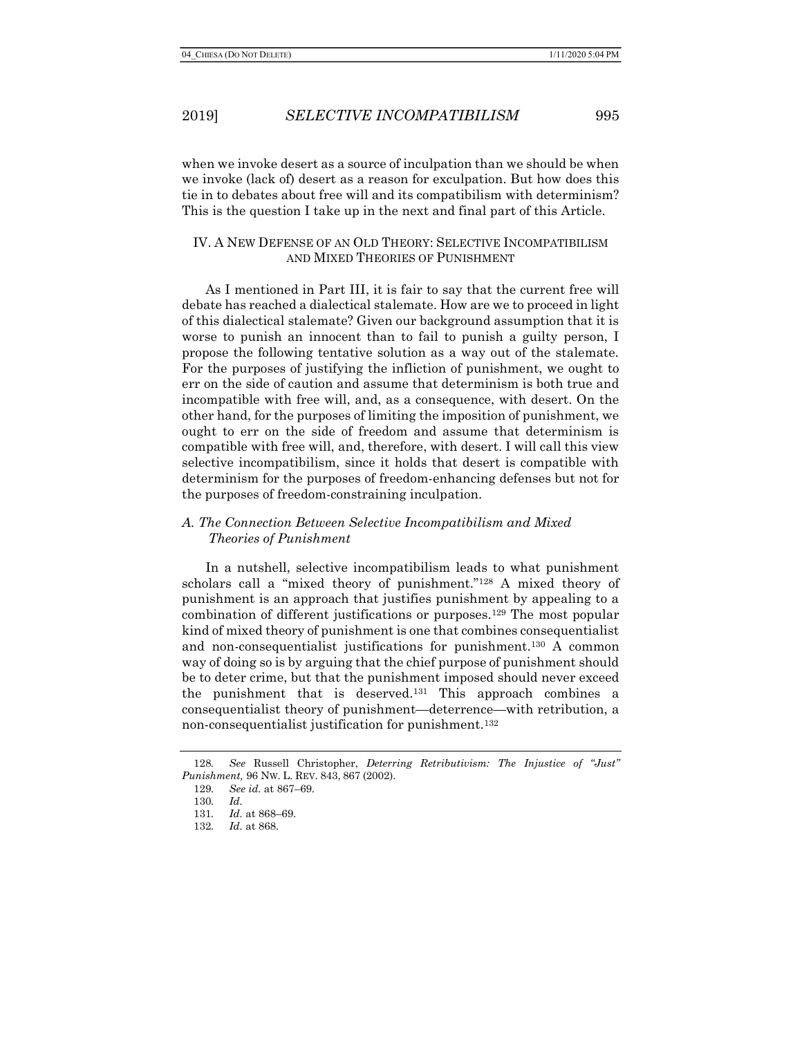when we invoke desert as a source of inculpation than we should be when we invoke (lack of) desert as a reason for exculpation. But how does this tie in to debates about free will and its compatibilism with determinism? This is the question I take up in the next and final part of this Article.

### IV. A NEW DEFENSE OF AN OLD THEORY: SELECTIVE INCOMPATIBILISM AND MIXED THEORIES OF PUNISHMENT

As I mentioned in Part III, it is fair to say that the current free will debate has reached a dialectical stalemate. How are we to proceed in light of this dialectical stalemate? Given our background assumption that it is worse to punish an innocent than to fail to punish a guilty person, I propose the following tentative solution as a way out of the stalemate. For the purposes of justifying the infliction of punishment, we ought to err on the side of caution and assume that determinism is both true and incompatible with free will, and, as a consequence, with desert. On the other hand, for the purposes of limiting the imposition of punishment, we ought to err on the side of freedom and assume that determinism is compatible with free will, and, therefore, with desert. I will call this view selective incompatibilism, since it holds that desert is compatible with determinism for the purposes of freedom-enhancing defenses but not for the purposes of freedom-constraining inculpation.

### A. The Connection Between Selective Incompatibilism and Mixed Theories of Punishment

In a nutshell, selective incompatibilism leads to what punishment scholars call a "mixed theory of punishment."128 A mixed theory of punishment is an approach that justifies punishment by appealing to a combination of different justifications or purposes.129 The most popular kind of mixed theory of punishment is one that combines consequentialist and non-consequentialist justifications for punishment.130 A common way of doing so is by arguing that the chief purpose of punishment should be to deter crime, but that the punishment imposed should never exceed the punishment that is deserved.131 This approach combines a consequentialist theory of punishment—deterrence—with retribution, a non-consequentialist justification for punishment.<sup>132</sup>

<sup>128</sup>. See Russell Christopher, Deterring Retributivism: The Injustice of "Just" Punishment, 96 NW. L. REV. 843, 867 (2002).

<sup>129</sup>. See id. at 867–69.

<sup>130</sup>. Id.

<sup>131</sup>. Id. at 868–69.

<sup>132</sup>. Id. at 868.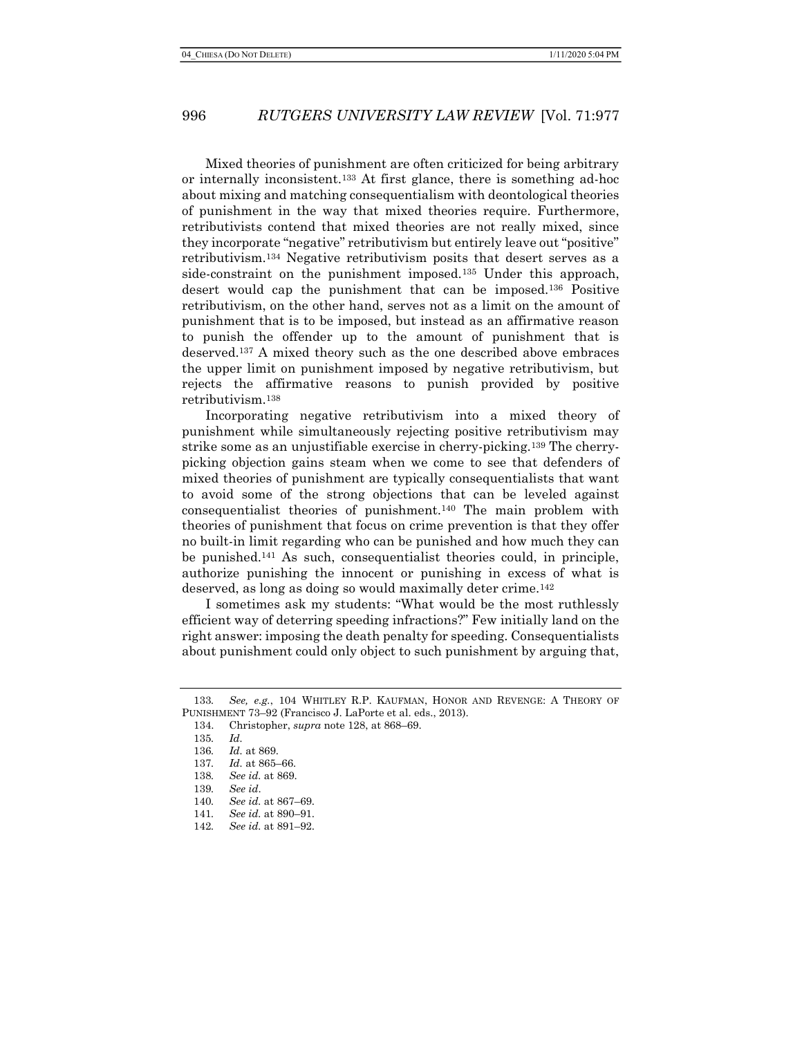Mixed theories of punishment are often criticized for being arbitrary or internally inconsistent.133 At first glance, there is something ad-hoc about mixing and matching consequentialism with deontological theories of punishment in the way that mixed theories require. Furthermore, retributivists contend that mixed theories are not really mixed, since they incorporate "negative" retributivism but entirely leave out "positive" retributivism.134 Negative retributivism posits that desert serves as a side-constraint on the punishment imposed.<sup>135</sup> Under this approach, desert would cap the punishment that can be imposed.136 Positive retributivism, on the other hand, serves not as a limit on the amount of punishment that is to be imposed, but instead as an affirmative reason to punish the offender up to the amount of punishment that is deserved.137 A mixed theory such as the one described above embraces the upper limit on punishment imposed by negative retributivism, but rejects the affirmative reasons to punish provided by positive retributivism.<sup>138</sup>

Incorporating negative retributivism into a mixed theory of punishment while simultaneously rejecting positive retributivism may strike some as an unjustifiable exercise in cherry-picking.139 The cherrypicking objection gains steam when we come to see that defenders of mixed theories of punishment are typically consequentialists that want to avoid some of the strong objections that can be leveled against consequentialist theories of punishment.140 The main problem with theories of punishment that focus on crime prevention is that they offer no built-in limit regarding who can be punished and how much they can be punished.141 As such, consequentialist theories could, in principle, authorize punishing the innocent or punishing in excess of what is deserved, as long as doing so would maximally deter crime.<sup>142</sup>

I sometimes ask my students: "What would be the most ruthlessly efficient way of deterring speeding infractions?" Few initially land on the right answer: imposing the death penalty for speeding. Consequentialists about punishment could only object to such punishment by arguing that,

<sup>133.</sup> See, e.g., 104 WHITLEY R.P. KAUFMAN, HONOR AND REVENGE: A THEORY OF PUNISHMENT 73–92 (Francisco J. LaPorte et al. eds., 2013).

<sup>134.</sup> Christopher, supra note 128, at 868–69.

<sup>135</sup>. Id.

<sup>136</sup>. Id. at 869.

<sup>137</sup>. Id. at 865–66.

<sup>138</sup>. See id. at 869.

<sup>139</sup>. See id.

<sup>140</sup>. See id. at 867–69.

<sup>141</sup>. See id. at 890–91.

<sup>142</sup>. See id. at 891–92.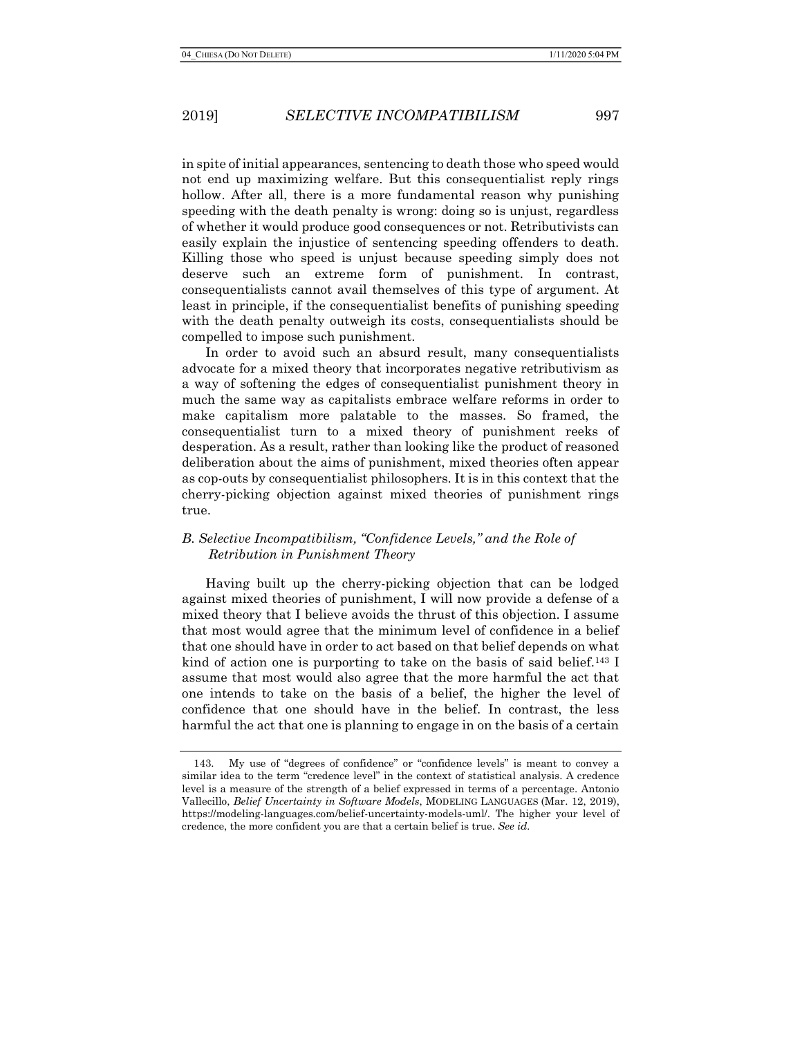in spite of initial appearances, sentencing to death those who speed would not end up maximizing welfare. But this consequentialist reply rings hollow. After all, there is a more fundamental reason why punishing speeding with the death penalty is wrong: doing so is unjust, regardless of whether it would produce good consequences or not. Retributivists can easily explain the injustice of sentencing speeding offenders to death. Killing those who speed is unjust because speeding simply does not deserve such an extreme form of punishment. In contrast, consequentialists cannot avail themselves of this type of argument. At least in principle, if the consequentialist benefits of punishing speeding with the death penalty outweigh its costs, consequentialists should be compelled to impose such punishment.

In order to avoid such an absurd result, many consequentialists advocate for a mixed theory that incorporates negative retributivism as a way of softening the edges of consequentialist punishment theory in much the same way as capitalists embrace welfare reforms in order to make capitalism more palatable to the masses. So framed, the consequentialist turn to a mixed theory of punishment reeks of desperation. As a result, rather than looking like the product of reasoned deliberation about the aims of punishment, mixed theories often appear as cop-outs by consequentialist philosophers. It is in this context that the cherry-picking objection against mixed theories of punishment rings true.

## B. Selective Incompatibilism, "Confidence Levels," and the Role of Retribution in Punishment Theory

Having built up the cherry-picking objection that can be lodged against mixed theories of punishment, I will now provide a defense of a mixed theory that I believe avoids the thrust of this objection. I assume that most would agree that the minimum level of confidence in a belief that one should have in order to act based on that belief depends on what kind of action one is purporting to take on the basis of said belief.<sup>143</sup> I assume that most would also agree that the more harmful the act that one intends to take on the basis of a belief, the higher the level of confidence that one should have in the belief. In contrast, the less harmful the act that one is planning to engage in on the basis of a certain

<sup>143.</sup> My use of "degrees of confidence" or "confidence levels" is meant to convey a similar idea to the term "credence level" in the context of statistical analysis. A credence level is a measure of the strength of a belief expressed in terms of a percentage. Antonio Vallecillo, Belief Uncertainty in Software Models, MODELING LANGUAGES (Mar. 12, 2019), https://modeling-languages.com/belief-uncertainty-models-uml/. The higher your level of credence, the more confident you are that a certain belief is true. See id.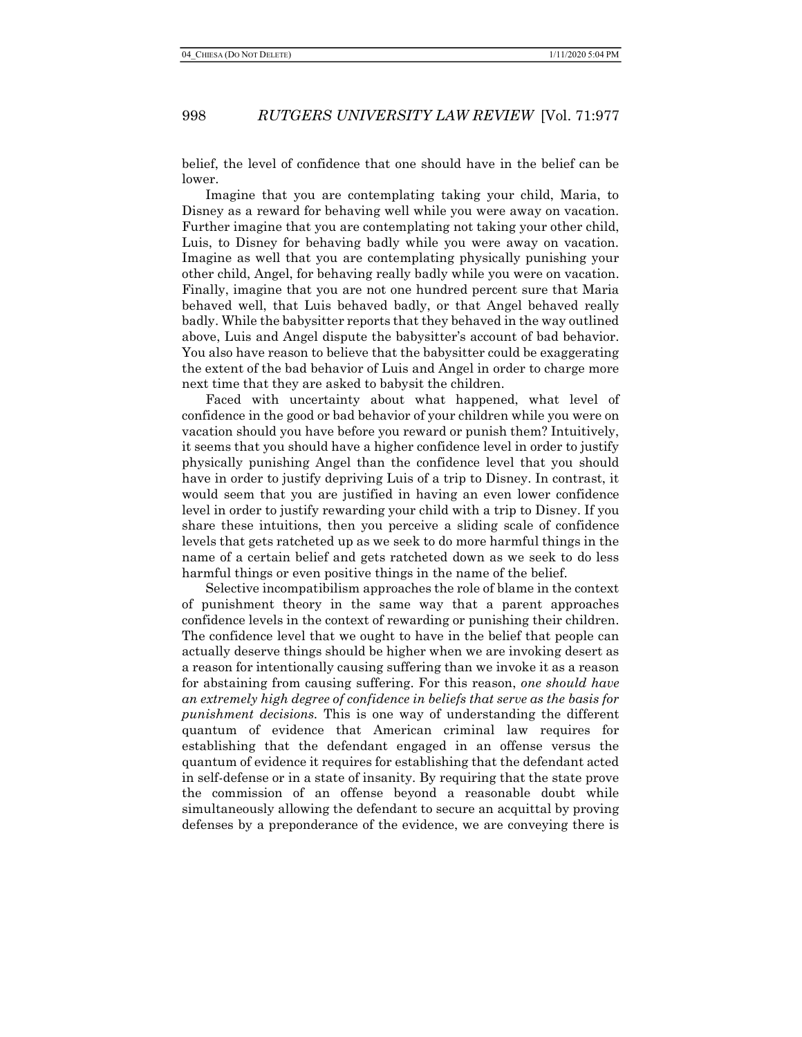belief, the level of confidence that one should have in the belief can be lower.

Imagine that you are contemplating taking your child, Maria, to Disney as a reward for behaving well while you were away on vacation. Further imagine that you are contemplating not taking your other child, Luis, to Disney for behaving badly while you were away on vacation. Imagine as well that you are contemplating physically punishing your other child, Angel, for behaving really badly while you were on vacation. Finally, imagine that you are not one hundred percent sure that Maria behaved well, that Luis behaved badly, or that Angel behaved really badly. While the babysitter reports that they behaved in the way outlined above, Luis and Angel dispute the babysitter's account of bad behavior. You also have reason to believe that the babysitter could be exaggerating the extent of the bad behavior of Luis and Angel in order to charge more next time that they are asked to babysit the children.

Faced with uncertainty about what happened, what level of confidence in the good or bad behavior of your children while you were on vacation should you have before you reward or punish them? Intuitively, it seems that you should have a higher confidence level in order to justify physically punishing Angel than the confidence level that you should have in order to justify depriving Luis of a trip to Disney. In contrast, it would seem that you are justified in having an even lower confidence level in order to justify rewarding your child with a trip to Disney. If you share these intuitions, then you perceive a sliding scale of confidence levels that gets ratcheted up as we seek to do more harmful things in the name of a certain belief and gets ratcheted down as we seek to do less harmful things or even positive things in the name of the belief.

Selective incompatibilism approaches the role of blame in the context of punishment theory in the same way that a parent approaches confidence levels in the context of rewarding or punishing their children. The confidence level that we ought to have in the belief that people can actually deserve things should be higher when we are invoking desert as a reason for intentionally causing suffering than we invoke it as a reason for abstaining from causing suffering. For this reason, one should have an extremely high degree of confidence in beliefs that serve as the basis for punishment decisions. This is one way of understanding the different quantum of evidence that American criminal law requires for establishing that the defendant engaged in an offense versus the quantum of evidence it requires for establishing that the defendant acted in self-defense or in a state of insanity. By requiring that the state prove the commission of an offense beyond a reasonable doubt while simultaneously allowing the defendant to secure an acquittal by proving defenses by a preponderance of the evidence, we are conveying there is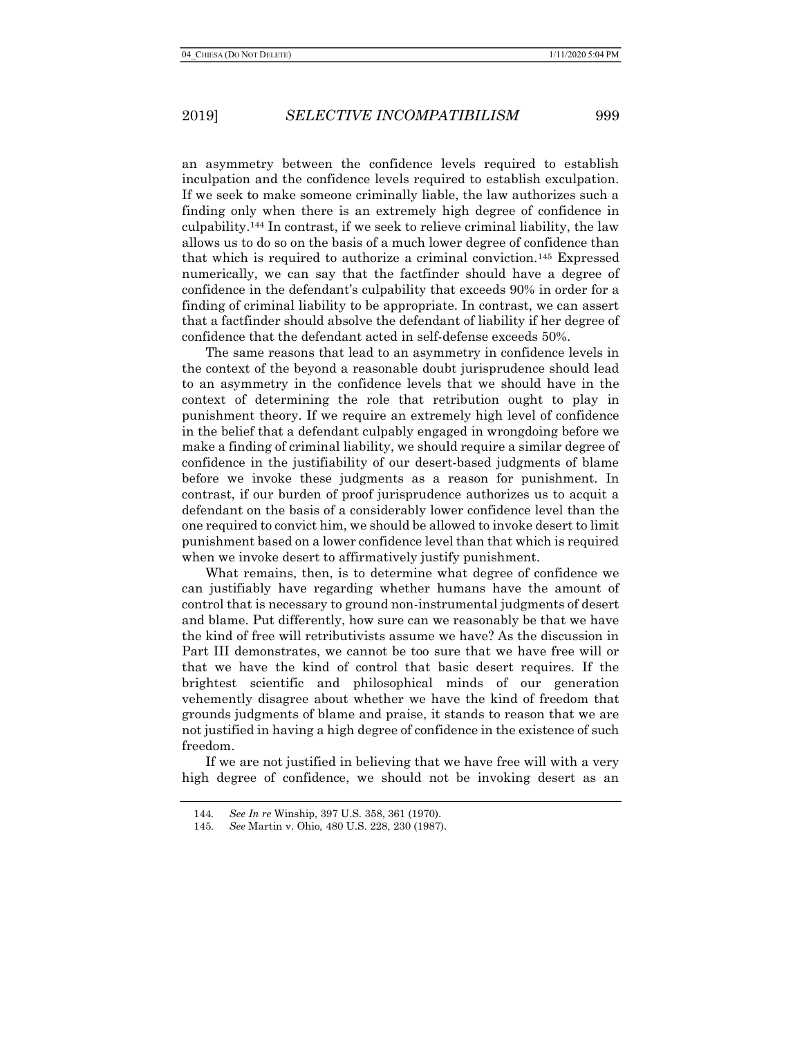an asymmetry between the confidence levels required to establish inculpation and the confidence levels required to establish exculpation. If we seek to make someone criminally liable, the law authorizes such a finding only when there is an extremely high degree of confidence in culpability.144 In contrast, if we seek to relieve criminal liability, the law allows us to do so on the basis of a much lower degree of confidence than that which is required to authorize a criminal conviction.145 Expressed numerically, we can say that the factfinder should have a degree of confidence in the defendant's culpability that exceeds 90% in order for a finding of criminal liability to be appropriate. In contrast, we can assert that a factfinder should absolve the defendant of liability if her degree of confidence that the defendant acted in self-defense exceeds 50%.

The same reasons that lead to an asymmetry in confidence levels in the context of the beyond a reasonable doubt jurisprudence should lead to an asymmetry in the confidence levels that we should have in the context of determining the role that retribution ought to play in punishment theory. If we require an extremely high level of confidence in the belief that a defendant culpably engaged in wrongdoing before we make a finding of criminal liability, we should require a similar degree of confidence in the justifiability of our desert-based judgments of blame before we invoke these judgments as a reason for punishment. In contrast, if our burden of proof jurisprudence authorizes us to acquit a defendant on the basis of a considerably lower confidence level than the one required to convict him, we should be allowed to invoke desert to limit punishment based on a lower confidence level than that which is required when we invoke desert to affirmatively justify punishment.

What remains, then, is to determine what degree of confidence we can justifiably have regarding whether humans have the amount of control that is necessary to ground non-instrumental judgments of desert and blame. Put differently, how sure can we reasonably be that we have the kind of free will retributivists assume we have? As the discussion in Part III demonstrates, we cannot be too sure that we have free will or that we have the kind of control that basic desert requires. If the brightest scientific and philosophical minds of our generation vehemently disagree about whether we have the kind of freedom that grounds judgments of blame and praise, it stands to reason that we are not justified in having a high degree of confidence in the existence of such freedom.

If we are not justified in believing that we have free will with a very high degree of confidence, we should not be invoking desert as an

<sup>144</sup>. See In re Winship, 397 U.S. 358, 361 (1970).

<sup>145</sup>. See Martin v. Ohio, 480 U.S. 228, 230 (1987).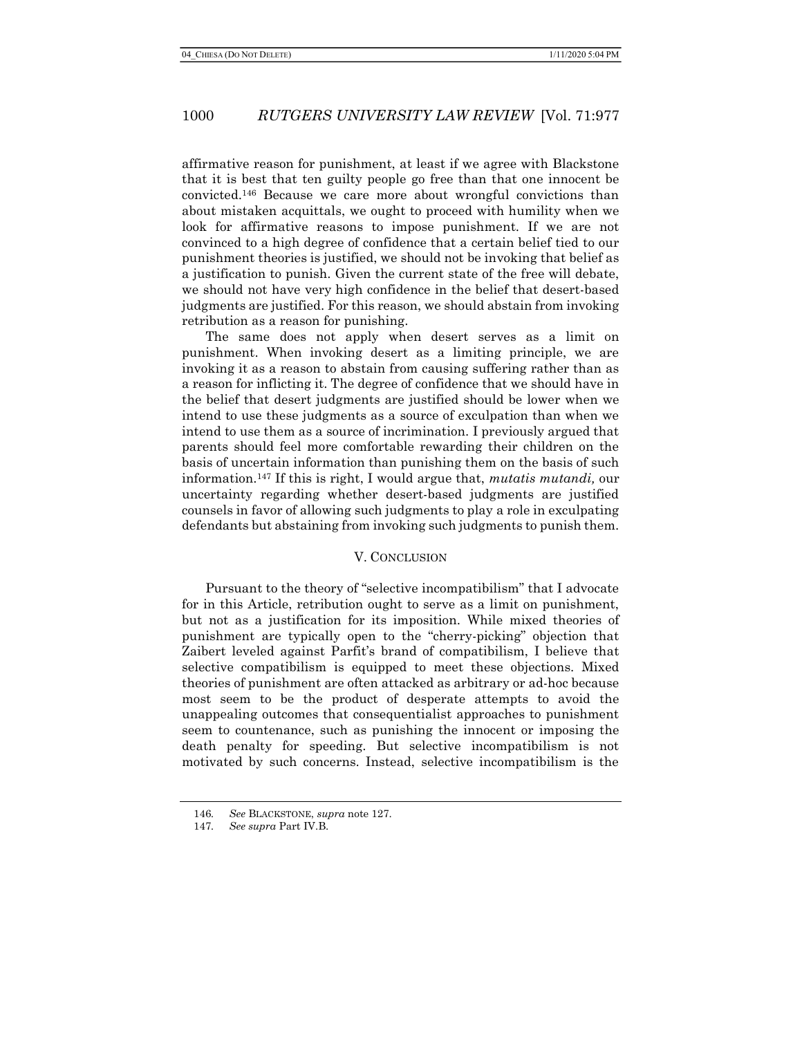affirmative reason for punishment, at least if we agree with Blackstone that it is best that ten guilty people go free than that one innocent be convicted.146 Because we care more about wrongful convictions than about mistaken acquittals, we ought to proceed with humility when we look for affirmative reasons to impose punishment. If we are not convinced to a high degree of confidence that a certain belief tied to our punishment theories is justified, we should not be invoking that belief as a justification to punish. Given the current state of the free will debate, we should not have very high confidence in the belief that desert-based judgments are justified. For this reason, we should abstain from invoking retribution as a reason for punishing.

The same does not apply when desert serves as a limit on punishment. When invoking desert as a limiting principle, we are invoking it as a reason to abstain from causing suffering rather than as a reason for inflicting it. The degree of confidence that we should have in the belief that desert judgments are justified should be lower when we intend to use these judgments as a source of exculpation than when we intend to use them as a source of incrimination. I previously argued that parents should feel more comfortable rewarding their children on the basis of uncertain information than punishing them on the basis of such information.147 If this is right, I would argue that, mutatis mutandi, our uncertainty regarding whether desert-based judgments are justified counsels in favor of allowing such judgments to play a role in exculpating defendants but abstaining from invoking such judgments to punish them.

#### V. CONCLUSION

Pursuant to the theory of "selective incompatibilism" that I advocate for in this Article, retribution ought to serve as a limit on punishment, but not as a justification for its imposition. While mixed theories of punishment are typically open to the "cherry-picking" objection that Zaibert leveled against Parfit's brand of compatibilism, I believe that selective compatibilism is equipped to meet these objections. Mixed theories of punishment are often attacked as arbitrary or ad-hoc because most seem to be the product of desperate attempts to avoid the unappealing outcomes that consequentialist approaches to punishment seem to countenance, such as punishing the innocent or imposing the death penalty for speeding. But selective incompatibilism is not motivated by such concerns. Instead, selective incompatibilism is the

<sup>146</sup>. See BLACKSTONE, supra note 127.

<sup>147</sup>. See supra Part IV.B.